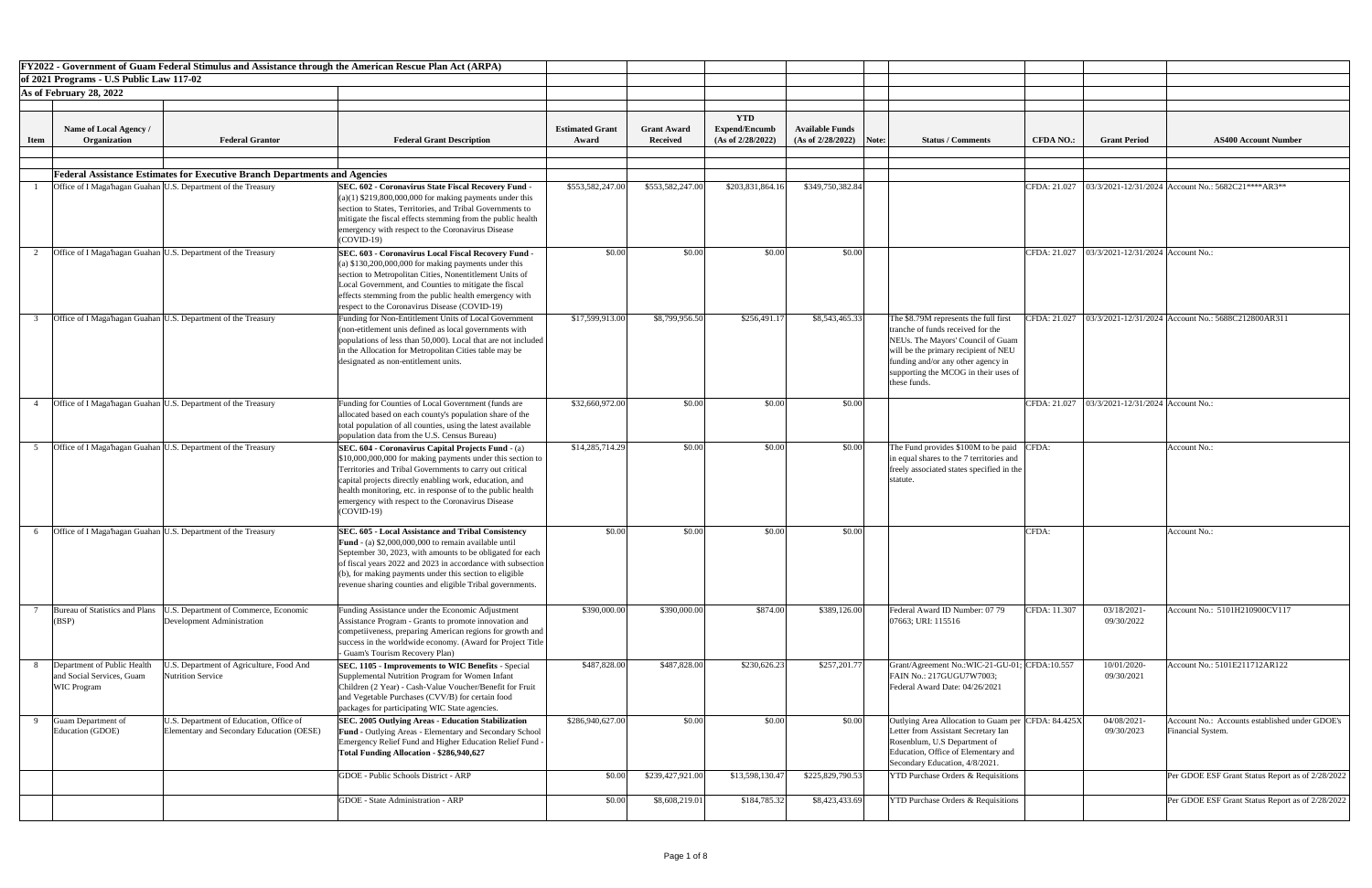|             | FY2022 - Government of Guam Federal Stimulus and Assistance through the American Rescue Plan Act (ARPA)                                                |                                                                                                                                                                                                                                                                                                                                                                                  |                                 |                                       |                                                         |                                             |                                                                                                                                                                                                                                                       |                  |                                                    |                                                                     |
|-------------|--------------------------------------------------------------------------------------------------------------------------------------------------------|----------------------------------------------------------------------------------------------------------------------------------------------------------------------------------------------------------------------------------------------------------------------------------------------------------------------------------------------------------------------------------|---------------------------------|---------------------------------------|---------------------------------------------------------|---------------------------------------------|-------------------------------------------------------------------------------------------------------------------------------------------------------------------------------------------------------------------------------------------------------|------------------|----------------------------------------------------|---------------------------------------------------------------------|
|             | of 2021 Programs - U.S Public Law 117-02                                                                                                               |                                                                                                                                                                                                                                                                                                                                                                                  |                                 |                                       |                                                         |                                             |                                                                                                                                                                                                                                                       |                  |                                                    |                                                                     |
|             | As of February 28, 2022                                                                                                                                |                                                                                                                                                                                                                                                                                                                                                                                  |                                 |                                       |                                                         |                                             |                                                                                                                                                                                                                                                       |                  |                                                    |                                                                     |
| <b>Item</b> | <b>Name of Local Agency</b> /<br>Organization<br><b>Federal Grantor</b>                                                                                | <b>Federal Grant Description</b>                                                                                                                                                                                                                                                                                                                                                 | <b>Estimated Grant</b><br>Award | <b>Grant Award</b><br><b>Received</b> | <b>YTD</b><br><b>Expend/Encumb</b><br>(As of 2/28/2022) | <b>Available Funds</b><br>(As of 2/28/2022) | Note:<br><b>Status / Comments</b>                                                                                                                                                                                                                     | <b>CFDA NO.:</b> | <b>Grant Period</b>                                | <b>AS400 Account Number</b>                                         |
|             |                                                                                                                                                        |                                                                                                                                                                                                                                                                                                                                                                                  |                                 |                                       |                                                         |                                             |                                                                                                                                                                                                                                                       |                  |                                                    |                                                                     |
|             | <b>Federal Assistance Estimates for Executive Branch Departments and Agencies</b>                                                                      |                                                                                                                                                                                                                                                                                                                                                                                  |                                 |                                       |                                                         |                                             |                                                                                                                                                                                                                                                       |                  |                                                    |                                                                     |
|             | Office of I Maga'hagan Guahan U.S. Department of the Treasury                                                                                          | <b>SEC. 602 - Coronavirus State Fiscal Recovery Fund</b><br>$(a)(1)$ \$219,800,000,000 for making payments under this<br>section to States, Territories, and Tribal Governments to<br>mitigate the fiscal effects stemming from the public health<br>emergency with respect to the Coronavirus Disease<br>$(COVID-19)$                                                           | \$553,582,247.00                | \$553,582,247.00                      | \$203,831,864.16                                        | \$349,750,382.84                            |                                                                                                                                                                                                                                                       | CFDA: 21.027     |                                                    | $\vert$ 03/3/2021-12/31/2024 Account No.: 5682C21****AR3**          |
|             | Office of I Maga hagan Guahan U.S. Department of the Treasury                                                                                          | SEC. 603 - Coronavirus Local Fiscal Recovery Fund<br>(a) $$130,200,000,000$ for making payments under this<br>section to Metropolitan Cities, Nonentitlement Units of<br>Local Government, and Counties to mitigate the fiscal<br>effects stemming from the public health emergency with<br>respect to the Coronavirus Disease (COVID-19)                                        | \$0.00                          | \$0.00                                | \$0.00                                                  | \$0.00                                      |                                                                                                                                                                                                                                                       |                  | CFDA: 21.027   03/3/2021-12/31/2024   Account No.: |                                                                     |
|             | Office of I Maga hagan Guahan U.S. Department of the Treasury                                                                                          | Funding for Non-Entitlement Units of Local Government<br>(non-etitlement unis defined as local governments with<br>populations of less than 50,000). Local that are not included<br>in the Allocation for Metropolitan Cities table may be<br>designated as non-entitlement units.                                                                                               | \$17,599,913.00                 | \$8,799,956.50                        | \$256,491.17                                            | \$8,543,465.33                              | The \$8.79M represents the full first<br>tranche of funds received for the<br>NEUs. The Mayors' Council of Guam<br>will be the primary recipient of NEU<br>funding and/or any other agency in<br>supporting the MCOG in their uses of<br>these funds. | CFDA: 21.027     |                                                    | 03/3/2021-12/31/2024 Account No.: 5688C212800AR311                  |
|             | Office of I Maga hagan Guahan U.S. Department of the Treasury                                                                                          | Funding for Counties of Local Government (funds are<br>allocated based on each county's population share of the<br>total population of all counties, using the latest available<br>population data from the U.S. Census Bureau)                                                                                                                                                  | \$32,660,972.00                 | \$0.00                                | \$0.00                                                  | \$0.00                                      |                                                                                                                                                                                                                                                       | CFDA: 21.027     | $\big  03/3/2021 - 12/31/2024 \big $ Account No.:  |                                                                     |
|             | Office of I Maga hagan Guahan U.S. Department of the Treasury                                                                                          | SEC. 604 - Coronavirus Capital Projects Fund - (a)<br>\$10,000,000,000 for making payments under this section to<br>Territories and Tribal Governments to carry out critical<br>capital projects directly enabling work, education, and<br>health monitoring, etc. in response of to the public health<br>emergency with respect to the Coronavirus Disease<br>$(COVID-19)$      | \$14,285,714.29                 | \$0.00                                | \$0.00                                                  | \$0.00                                      | The Fund provides \$100M to be paid CFDA:<br>in equal shares to the 7 territories and<br>freely associated states specified in the<br>statute                                                                                                         |                  |                                                    | Account No.:                                                        |
|             | Office of I Maga hagan Guahan U.S. Department of the Treasury                                                                                          | <b>SEC. 605 - Local Assistance and Tribal Consistency</b><br><b>Fund</b> - (a) $$2,000,000,000$ to remain available until<br>September 30, 2023, with amounts to be obligated for each<br>of fiscal years 2022 and 2023 in accordance with subsection<br>$(6)$ , for making payments under this section to eligible<br>revenue sharing counties and eligible Tribal governments. | \$0.00                          | \$0.00                                | \$0.00                                                  | \$0.00                                      |                                                                                                                                                                                                                                                       | CFDA:            |                                                    | Account No.:                                                        |
|             | Bureau of Statistics and Plans<br>U.S. Department of Commerce, Economic<br>Development Administration<br>(BSP)                                         | Funding Assistance under the Economic Adjustment<br>Assistance Program - Grants to promote innovation and<br>competiiveness, preparing American regions for growth and  <br>success in the worldwide economy. (Award for Project Title<br>- Guam's Tourism Recovery Plan)                                                                                                        | \$390,000.00                    | \$390,000.00                          | \$874.00                                                | \$389,126.00                                | Federal Award ID Number: 07 79<br>07663; URI: 115516                                                                                                                                                                                                  | CFDA: 11.307     | 03/18/2021<br>09/30/2022                           | Account No.: 5101H210900CV117                                       |
|             | Department of Public Health<br>U.S. Department of Agriculture, Food And<br><b>Nutrition Service</b><br>and Social Services, Guam<br><b>WIC Program</b> | <b>SEC. 1105 - Improvements to WIC Benefits - Special</b><br>Supplemental Nutrition Program for Women Infant<br>Children (2 Year) - Cash-Value Voucher/Benefit for Fruit<br>and Vegetable Purchases (CVV/B) for certain food<br>packages for participating WIC State agencies.                                                                                                   | \$487,828.00                    | \$487,828.00                          | \$230,626.23                                            | \$257,201.77                                | Grant/Agreement No.:WIC-21-GU-01; CFDA:10.557<br>FAIN No.: 217GUGU7W7003;<br>Federal Award Date: 04/26/2021                                                                                                                                           |                  | 10/01/2020-<br>09/30/2021                          | Account No.: 5101E211712AR122                                       |
| $\mathbf Q$ | Guam Department of<br>U.S. Department of Education, Office of<br>Education (GDOE)<br>Elementary and Secondary Education (OESE)                         | <b>SEC. 2005 Outlying Areas - Education Stabilization</b><br><b>Fund - Outlying Areas - Elementary and Secondary School</b><br>Emergency Relief Fund and Higher Education Relief Fund -<br>Total Funding Allocation - \$286,940,627                                                                                                                                              | \$286,940,627.00                | \$0.00                                | \$0.00                                                  | \$0.00                                      | Outlying Area Allocation to Guam per CFDA: 84.425X<br>Letter from Assistant Secretary Ian<br>Rosenblum, U.S Department of<br>Education, Office of Elementary and<br>Secondary Education, 4/8/2021.                                                    |                  | 04/08/2021-<br>09/30/2023                          | Account No.: Accounts established under GDOE's<br>Financial System. |
|             |                                                                                                                                                        | GDOE - Public Schools District - ARP                                                                                                                                                                                                                                                                                                                                             | \$0.00                          | \$239,427,921.00                      | \$13,598,130.47                                         | \$225,829,790.53                            | <b>YTD Purchase Orders &amp; Requisitions</b>                                                                                                                                                                                                         |                  |                                                    | Per GDOE ESF Grant Status Report as of 2/28/2022                    |
|             |                                                                                                                                                        | <b>GDOE</b> - State Administration - ARP                                                                                                                                                                                                                                                                                                                                         | \$0.00                          | \$8,608,219.01                        | \$184,785.32                                            | \$8,423,433.69                              | <b>YTD Purchase Orders &amp; Requisitions</b>                                                                                                                                                                                                         |                  |                                                    | Per GDOE ESF Grant Status Report as of 2/28/2022                    |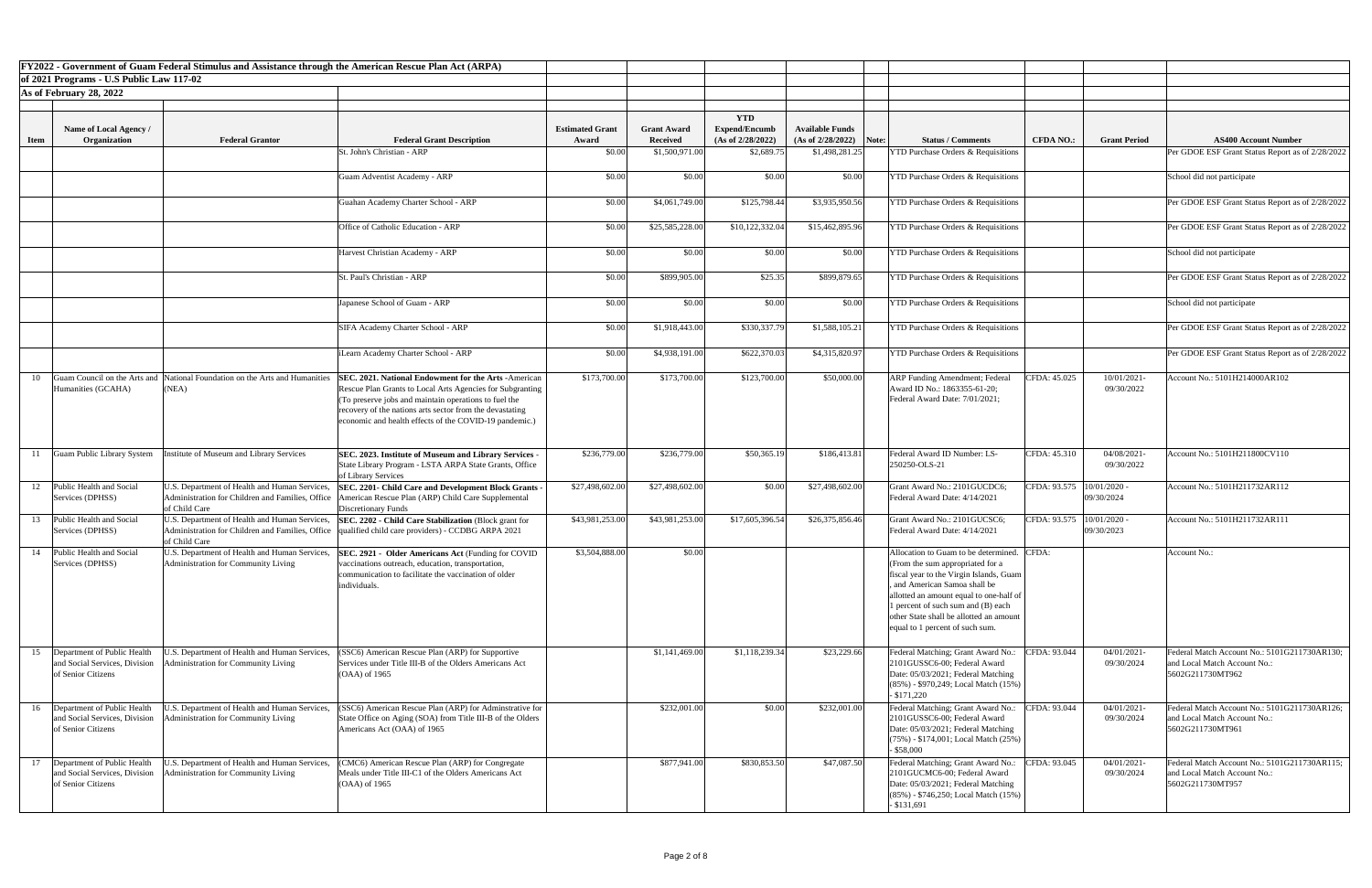|             |                                                                                       | FY2022 - Government of Guam Federal Stimulus and Assistance through the American Rescue Plan Act (ARPA) |                                                                                                                                                                                                                                                                                                         |                                 |                                       |                                                         |                                                     |                                                                                                                                                                                                                                                                                                                           |                  |                                           |                                                                                                  |
|-------------|---------------------------------------------------------------------------------------|---------------------------------------------------------------------------------------------------------|---------------------------------------------------------------------------------------------------------------------------------------------------------------------------------------------------------------------------------------------------------------------------------------------------------|---------------------------------|---------------------------------------|---------------------------------------------------------|-----------------------------------------------------|---------------------------------------------------------------------------------------------------------------------------------------------------------------------------------------------------------------------------------------------------------------------------------------------------------------------------|------------------|-------------------------------------------|--------------------------------------------------------------------------------------------------|
|             | of 2021 Programs - U.S Public Law 117-02                                              |                                                                                                         |                                                                                                                                                                                                                                                                                                         |                                 |                                       |                                                         |                                                     |                                                                                                                                                                                                                                                                                                                           |                  |                                           |                                                                                                  |
|             | As of February 28, 2022                                                               |                                                                                                         |                                                                                                                                                                                                                                                                                                         |                                 |                                       |                                                         |                                                     |                                                                                                                                                                                                                                                                                                                           |                  |                                           |                                                                                                  |
| <b>Item</b> | Name of Local Agency /<br>Organization                                                | <b>Federal Grantor</b>                                                                                  | <b>Federal Grant Description</b>                                                                                                                                                                                                                                                                        | <b>Estimated Grant</b><br>Award | <b>Grant Award</b><br><b>Received</b> | <b>YTD</b><br><b>Expend/Encumb</b><br>(As of 2/28/2022) | <b>Available Funds</b><br>$(As of 2/28/2022)$ Note: | <b>Status / Comments</b>                                                                                                                                                                                                                                                                                                  | <b>CFDA NO.:</b> | <b>Grant Period</b>                       | <b>AS400 Account Number</b>                                                                      |
|             |                                                                                       |                                                                                                         | St. John's Christian - ARP                                                                                                                                                                                                                                                                              | \$0.00                          | \$1,500,971.00                        | \$2,689.75                                              | \$1,498,281.25                                      | <b>YTD Purchase Orders &amp; Requisitions</b>                                                                                                                                                                                                                                                                             |                  |                                           | Per GDOE ESF Grant Status Report as of 2/28/2022                                                 |
|             |                                                                                       |                                                                                                         | <b>Guam Adventist Academy - ARP</b>                                                                                                                                                                                                                                                                     | \$0.00                          | \$0.00                                | \$0.00                                                  | \$0.00                                              | <b>YTD Purchase Orders &amp; Requisitions</b>                                                                                                                                                                                                                                                                             |                  |                                           | School did not participate                                                                       |
|             |                                                                                       |                                                                                                         | Guahan Academy Charter School - ARP                                                                                                                                                                                                                                                                     | \$0.00                          | \$4,061,749.00                        | \$125,798.44                                            | \$3,935,950.56                                      | <b>YTD Purchase Orders &amp; Requisitions</b>                                                                                                                                                                                                                                                                             |                  |                                           | Per GDOE ESF Grant Status Report as of 2/28/2022                                                 |
|             |                                                                                       |                                                                                                         | Office of Catholic Education - ARP                                                                                                                                                                                                                                                                      | \$0.00                          | \$25,585,228.00                       | \$10,122,332.04                                         | \$15,462,895.96                                     | <b>YTD Purchase Orders &amp; Requisitions</b>                                                                                                                                                                                                                                                                             |                  |                                           | Per GDOE ESF Grant Status Report as of 2/28/2022                                                 |
|             |                                                                                       |                                                                                                         | Harvest Christian Academy - ARP                                                                                                                                                                                                                                                                         | \$0.00                          | \$0.00                                | \$0.00                                                  | \$0.00                                              | <b>YTD Purchase Orders &amp; Requisitions</b>                                                                                                                                                                                                                                                                             |                  |                                           | School did not participate                                                                       |
|             |                                                                                       |                                                                                                         | St. Paul's Christian - ARP                                                                                                                                                                                                                                                                              | \$0.00                          | \$899,905.00                          | \$25.35                                                 | \$899,879.65                                        | <b>YTD Purchase Orders &amp; Requisitions</b>                                                                                                                                                                                                                                                                             |                  |                                           | Per GDOE ESF Grant Status Report as of 2/28/2022                                                 |
|             |                                                                                       |                                                                                                         | Japanese School of Guam - ARP                                                                                                                                                                                                                                                                           | \$0.00                          | \$0.00                                | \$0.00                                                  | \$0.00                                              | <b>YTD Purchase Orders &amp; Requisitions</b>                                                                                                                                                                                                                                                                             |                  |                                           | School did not participate                                                                       |
|             |                                                                                       |                                                                                                         | SIFA Academy Charter School - ARP                                                                                                                                                                                                                                                                       | \$0.00                          | \$1,918,443.00                        | \$330,337.79                                            | \$1,588,105.21                                      | <b>YTD Purchase Orders &amp; Requisitions</b>                                                                                                                                                                                                                                                                             |                  |                                           | Per GDOE ESF Grant Status Report as of 2/28/2022                                                 |
|             |                                                                                       |                                                                                                         | Learn Academy Charter School - ARP                                                                                                                                                                                                                                                                      | \$0.00                          | \$4,938,191.00                        | \$622,370.03                                            | \$4,315,820.97                                      | <b>YTD Purchase Orders &amp; Requisitions</b>                                                                                                                                                                                                                                                                             |                  |                                           | Per GDOE ESF Grant Status Report as of 2/28/2022                                                 |
| 10          | Humanities (GCAHA)                                                                    | Guam Council on the Arts and National Foundation on the Arts and Humanities<br>(NEA)                    | <b>SEC. 2021. National Endowment for the Arts - American</b><br>Rescue Plan Grants to Local Arts Agencies for Subgranting<br>To preserve jobs and maintain operations to fuel the<br>recovery of the nations arts sector from the devastating<br>economic and health effects of the COVID-19 pandemic.) | \$173,700.00                    | \$173,700.00                          | \$123,700.00                                            | \$50,000.00                                         | <b>ARP</b> Funding Amendment; Federal<br>Award ID No.: 1863355-61-20;<br>Federal Award Date: 7/01/2021;                                                                                                                                                                                                                   | CFDA: 45.025     | 10/01/2021-<br>09/30/2022                 | Account No.: 5101H214000AR102                                                                    |
|             | <b>Guam Public Library System</b>                                                     | Institute of Museum and Library Services                                                                | SEC. 2023. Institute of Museum and Library Services -<br>State Library Program - LSTA ARPA State Grants, Office<br>of Library Services                                                                                                                                                                  | \$236,779.00                    | \$236,779.00                          | \$50,365.19                                             | \$186,413.81                                        | Federal Award ID Number: LS-<br>250250-OLS-21                                                                                                                                                                                                                                                                             | CFDA: 45.310     | 04/08/2021-<br>09/30/2022                 | Account No.: 5101H211800CV110                                                                    |
| 12          | Public Health and Social<br>Services (DPHSS)                                          | U.S. Department of Health and Human Services,<br>of Child Care                                          | <b>SEC. 2201- Child Care and Development Block Grants -</b><br>Administration for Children and Families, Office American Rescue Plan (ARP) Child Care Supplemental<br>Discretionary Funds                                                                                                               | \$27,498,602.00                 | \$27,498,602.00                       | \$0.00                                                  | \$27,498,602.00                                     | Grant Award No.: 2101GUCDC6;<br>Federal Award Date: 4/14/2021                                                                                                                                                                                                                                                             |                  | CFDA: 93.575   10/01/2020 -<br>09/30/2024 | Account No.: 5101H211732AR112                                                                    |
| 13          | Public Health and Social<br>Services (DPHSS)                                          | U.S. Department of Health and Human Services,<br>of Child Care                                          | <b>SEC. 2202 - Child Care Stabilization (Block grant for</b><br>Administration for Children and Families, Office  qualified child care providers) - CCDBG ARPA 2021                                                                                                                                     | \$43,981,253.00                 | \$43,981,253.00                       | \$17,605,396.54                                         | \$26,375,856.46                                     | Grant Award No.: 2101GUCSC6;<br>Federal Award Date: 4/14/2021                                                                                                                                                                                                                                                             |                  | CFDA: 93.575   10/01/2020 -<br>09/30/2023 | Account No.: 5101H211732AR111                                                                    |
|             | 14 Public Health and Social<br>Services (DPHSS)                                       | U.S. Department of Health and Human Services,<br>Administration for Community Living                    | <b>SEC. 2921 - Older Americans Act (Funding for COVID</b><br>vaccinations outreach, education, transportation,<br>communication to facilitate the vaccination of older<br>individuals.                                                                                                                  | \$3,504,888.00                  | \$0.00                                |                                                         |                                                     | Allocation to Guam to be determined. CFDA:<br>(From the sum appropriated for a<br>fiscal year to the Virgin Islands, Guam<br>, and American Samoa shall be<br>allotted an amount equal to one-half of<br>1 percent of such sum and (B) each<br>other State shall be allotted an amount<br>equal to 1 percent of such sum. |                  |                                           | Account No.:                                                                                     |
|             | 15 Department of Public Health<br>and Social Services, Division<br>of Senior Citizens | U.S. Department of Health and Human Services,<br>dministration for Community Living                     | (SSC6) American Rescue Plan (ARP) for Supportive<br>Services under Title III-B of the Olders Americans Act<br>$(OAA)$ of 1965                                                                                                                                                                           |                                 | \$1,141,469.00                        | \$1,118,239.34                                          | \$23,229.66                                         | Federal Matching; Grant Award No.:<br>2101GUSSC6-00; Federal Award<br>Date: 05/03/2021; Federal Matching<br>$(85\%)$ - \$970,249; Local Match $(15\%)$<br>$-$ \$171,220                                                                                                                                                   | CFDA: 93.044     | 04/01/2021-<br>09/30/2024                 | Federal Match Account No.: 5101G211730AR130;<br>and Local Match Account No.:<br>5602G211730MT962 |
|             | 16 Department of Public Health<br>and Social Services, Division<br>of Senior Citizens | U.S. Department of Health and Human Services,<br>dministration for Community Living                     | (SSC6) American Rescue Plan (ARP) for Adminstrative for<br>State Office on Aging (SOA) from Title III-B of the Olders<br>Americans Act (OAA) of 1965                                                                                                                                                    |                                 | \$232,001.00                          | \$0.00                                                  | \$232,001.00                                        | Federal Matching; Grant Award No.:<br>2101GUSSC6-00; Federal Award<br>Date: 05/03/2021; Federal Matching<br>$(75\%)$ - \$174,001; Local Match $(25\%)$<br>$-$ \$58,000                                                                                                                                                    | CFDA: 93.044     | 04/01/2021-<br>09/30/2024                 | Federal Match Account No.: 5101G211730AR126;<br>and Local Match Account No.:<br>5602G211730MT961 |
| 17          | Department of Public Health<br>and Social Services, Division<br>of Senior Citizens    | U.S. Department of Health and Human Services,<br><b>Administration for Community Living</b>             | CMC6) American Rescue Plan (ARP) for Congregate<br>Meals under Title III-C1 of the Olders Americans Act<br>$(OAA)$ of 1965                                                                                                                                                                              |                                 | \$877,941.00                          | \$830,853.50                                            | \$47,087.50                                         | Federal Matching; Grant Award No.:<br>2101GUCMC6-00; Federal Award<br>Date: 05/03/2021; Federal Matching<br>$(85\%)$ - \$746,250; Local Match $(15\%)$<br>$-$ \$131,691                                                                                                                                                   | CFDA: 93.045     | 04/01/2021-<br>09/30/2024                 | Federal Match Account No.: 5101G211730AR115;<br>and Local Match Account No.:<br>5602G211730MT957 |

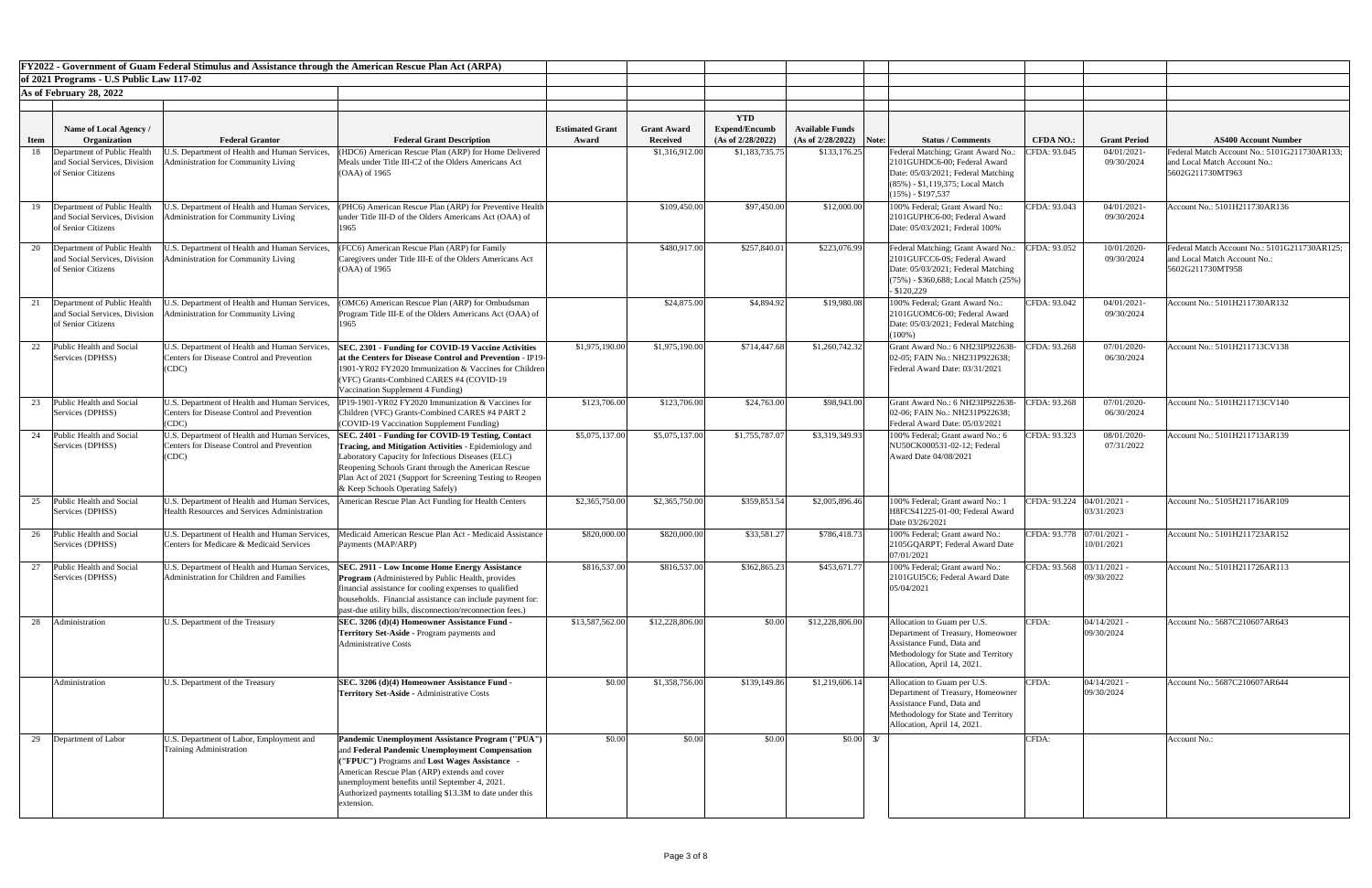|             |                                                                 |                                                                                                    | <b>FY2022 - Government of Guam Federal Stimulus and Assistance through the American Rescue Plan Act (ARPA)</b>   |                        |                    |                                    |                           |                                                                    |                             |                              |                                                                              |
|-------------|-----------------------------------------------------------------|----------------------------------------------------------------------------------------------------|------------------------------------------------------------------------------------------------------------------|------------------------|--------------------|------------------------------------|---------------------------|--------------------------------------------------------------------|-----------------------------|------------------------------|------------------------------------------------------------------------------|
|             | of 2021 Programs - U.S Public Law 117-02                        |                                                                                                    |                                                                                                                  |                        |                    |                                    |                           |                                                                    |                             |                              |                                                                              |
|             | As of February 28, 2022                                         |                                                                                                    |                                                                                                                  |                        |                    |                                    |                           |                                                                    |                             |                              |                                                                              |
|             |                                                                 |                                                                                                    |                                                                                                                  |                        |                    |                                    |                           |                                                                    |                             |                              |                                                                              |
|             | Name of Local Agency /                                          |                                                                                                    |                                                                                                                  | <b>Estimated Grant</b> | <b>Grant Award</b> | <b>YTD</b><br><b>Expend/Encumb</b> | <b>Available Funds</b>    |                                                                    |                             |                              |                                                                              |
| <b>Item</b> | <b>Organization</b>                                             | <b>Federal Grantor</b>                                                                             | <b>Federal Grant Description</b>                                                                                 | Award                  | <b>Received</b>    | (As of 2/28/2022)                  | $(As of 2/28/2022)$ Note: | <b>Status / Comments</b>                                           | <b>CFDA NO.:</b>            | <b>Grant Period</b>          | <b>AS400 Account Number</b>                                                  |
| 18          | Department of Public Health                                     | .S. Department of Health and Human Services                                                        | (HDC6) American Rescue Plan (ARP) for Home Delivered                                                             |                        | \$1,316,912.00     | \$1,183,735.75                     | \$133,176.25              | Federal Matching; Grant Award No.:                                 | CFDA: 93.045                | 04/01/2021                   | Federal Match Account No.: 5101G211730AR133;                                 |
|             | and Social Services, Division<br>of Senior Citizens             | dministration for Community Living                                                                 | Meals under Title III-C2 of the Olders Americans Act<br>$(OAA)$ of 1965                                          |                        |                    |                                    |                           | 2101GUHDC6-00; Federal Award<br>Date: 05/03/2021; Federal Matching |                             | 09/30/2024                   | and Local Match Account No.:<br>5602G211730MT963                             |
|             |                                                                 |                                                                                                    |                                                                                                                  |                        |                    |                                    |                           | $(85\%)$ - \$1,119,375; Local Match                                |                             |                              |                                                                              |
|             |                                                                 |                                                                                                    |                                                                                                                  |                        |                    |                                    |                           | $(15\%) - $197,537$                                                |                             |                              |                                                                              |
|             | 19 Department of Public Health                                  | J.S. Department of Health and Human Services,<br><b>Administration for Community Living</b>        | (PHC6) American Rescue Plan (ARP) for Preventive Health                                                          |                        | \$109,450.00       | \$97,450.00                        | \$12,000.00               | 100% Federal; Grant Award No.:                                     | CFDA: 93.043                | 04/01/2021<br>09/30/2024     | Account No.: 5101H211730AR136                                                |
|             | and Social Services, Division<br>of Senior Citizens             |                                                                                                    | under Title III-D of the Olders Americans Act (OAA) of<br>1965                                                   |                        |                    |                                    |                           | 2101GUPHC6-00; Federal Award<br>Date: 05/03/2021; Federal 100%     |                             |                              |                                                                              |
|             |                                                                 |                                                                                                    |                                                                                                                  |                        |                    |                                    |                           |                                                                    |                             |                              |                                                                              |
|             | 20 Department of Public Health<br>and Social Services, Division | U.S. Department of Health and Human Services,<br>dministration for Community Living                | (FCC6) American Rescue Plan (ARP) for Family<br>Caregivers under Title III-E of the Olders Americans Act         |                        | \$480,917.00       | \$257,840.01                       | \$223,076.99              | Federal Matching; Grant Award No.:<br>2101GUFCC6-0S; Federal Award | CFDA: 93.052                | 10/01/2020<br>09/30/2024     | Federal Match Account No.: 5101G211730AR125;<br>and Local Match Account No.: |
|             | of Senior Citizens                                              |                                                                                                    | (OAA) of 1965                                                                                                    |                        |                    |                                    |                           | Date: 05/03/2021; Federal Matching                                 |                             |                              | 5602G211730MT958                                                             |
|             |                                                                 |                                                                                                    |                                                                                                                  |                        |                    |                                    |                           | $(75%)$ - \$360,688; Local Match $(25%)$                           |                             |                              |                                                                              |
|             |                                                                 |                                                                                                    |                                                                                                                  |                        |                    |                                    |                           | $-$ \$120,229<br>100% Federal; Grant Award No.:                    |                             |                              | Account No.: 5101H211730AR132                                                |
|             | 21 Department of Public Health<br>and Social Services, Division | U.S. Department of Health and Human Services,<br><b>Administration for Community Living</b>        | (OMC6) American Rescue Plan (ARP) for Ombudsman<br>Program Title III-E of the Olders Americans Act (OAA) of      |                        | \$24,875.00        | \$4,894.92                         | \$19,980.08               | 2101GUOMC6-00; Federal Award                                       | CFDA: 93.042                | 04/01/2021<br>09/30/2024     |                                                                              |
|             | of Senior Citizens                                              |                                                                                                    | 1965                                                                                                             |                        |                    |                                    |                           | Date: 05/03/2021; Federal Matching                                 |                             |                              |                                                                              |
|             |                                                                 |                                                                                                    |                                                                                                                  |                        |                    |                                    |                           | $(100\%)$                                                          |                             |                              |                                                                              |
|             | Public Health and Social<br>Services (DPHSS)                    | U.S. Department of Health and Human Services.<br><b>Centers for Disease Control and Prevention</b> | SEC. 2301 - Funding for COVID-19 Vaccine Activities<br>at the Centers for Disease Control and Prevention - IP19- | \$1,975,190.00         | \$1,975,190.00     | \$714,447.68                       | \$1,260,742.32            | Grant Award No.: 6 NH23IP922638-<br>02-05; FAIN No.: NH231P922638; | CFDA: 93.268                | 07/01/2020-<br>06/30/2024    | Account No.: 5101H211713CV138                                                |
|             |                                                                 | (CDC)                                                                                              | 1901-YR02 FY2020 Immunization & Vaccines for Children                                                            |                        |                    |                                    |                           | Federal Award Date: 03/31/2021                                     |                             |                              |                                                                              |
|             |                                                                 |                                                                                                    | (VFC) Grants-Combined CARES #4 (COVID-19                                                                         |                        |                    |                                    |                           |                                                                    |                             |                              |                                                                              |
|             | Public Health and Social                                        | U.S. Department of Health and Human Services,                                                      | Vaccination Supplement 4 Funding)<br>IP19-1901-YR02 FY2020 Immunization & Vaccines for                           | \$123,706.00           | \$123,706.00       | \$24,763.00                        | \$98,943.00               | Grant Award No.: 6 NH23IP922638-                                   | CFDA: 93.268                | 07/01/2020-                  | Account No.: 5101H211713CV140                                                |
|             | Services (DPHSS)                                                | <b>Centers for Disease Control and Prevention</b>                                                  | Children (VFC) Grants-Combined CARES #4 PART 2                                                                   |                        |                    |                                    |                           | 02-06; FAIN No.: NH231P922638;                                     |                             | 06/30/2024                   |                                                                              |
|             |                                                                 | (CDC)                                                                                              | (COVID-19 Vaccination Supplement Funding)                                                                        |                        |                    |                                    |                           | Federal Award Date: 05/03/2021                                     |                             |                              |                                                                              |
|             | Public Health and Social<br>Services (DPHSS)                    | U.S. Department of Health and Human Services.<br>Centers for Disease Control and Prevention        | SEC. 2401 - Funding for COVID-19 Testing, Contact<br>Tracing, and Mitigation Activities - Epidemiology and       | \$5,075,137.00         | \$5,075,137.00     | \$1,755,787.07                     | \$3,319,349.93            | 100% Federal; Grant award No.: 6<br>NU50CK000531-02-12; Federal    | CFDA: 93.323                | 08/01/2020-<br>07/31/2022    | Account No.: 5101H211713AR139                                                |
|             |                                                                 | (CDC)                                                                                              | Laboratory Capacity for Infectious Diseases (ELC)                                                                |                        |                    |                                    |                           | Award Date 04/08/2021                                              |                             |                              |                                                                              |
|             |                                                                 |                                                                                                    | Reopening Schools Grant through the American Rescue                                                              |                        |                    |                                    |                           |                                                                    |                             |                              |                                                                              |
|             |                                                                 |                                                                                                    | Plan Act of 2021 (Support for Screening Testing to Reopen<br>& Keep Schools Operating Safely)                    |                        |                    |                                    |                           |                                                                    |                             |                              |                                                                              |
| 25          | Public Health and Social                                        | U.S. Department of Health and Human Services,                                                      | American Rescue Plan Act Funding for Health Centers                                                              | \$2,365,750.00         | \$2,365,750.00     | \$359,853.54                       | \$2,005,896.46            | 100% Federal; Grant award No.: 1                                   | CFDA: 93.224   04/01/2021 - |                              | Account No.: 5105H211716AR109                                                |
|             | Services (DPHSS)                                                | <b>Health Resources and Services Administration</b>                                                |                                                                                                                  |                        |                    |                                    |                           | H8FCS41225-01-00; Federal Award                                    |                             | 03/31/2023                   |                                                                              |
|             | 26 Public Health and Social                                     | U.S. Department of Health and Human Services,                                                      | Medicaid American Rescue Plan Act - Medicaid Assistance                                                          | \$820,000.00           | \$820,000.00       | \$33,581.27                        | \$786,418.73              | Date 03/26/2021<br>100% Federal; Grant award No.:                  | CFDA: 93.778 07/01/2021 -   |                              | Account No.: 5101H211723AR152                                                |
|             | Services (DPHSS)                                                | Centers for Medicare & Medicaid Services                                                           | Payments (MAP/ARP)                                                                                               |                        |                    |                                    |                           | 2105GQARPT; Federal Award Date                                     |                             | 10/01/2021                   |                                                                              |
|             |                                                                 |                                                                                                    |                                                                                                                  |                        |                    |                                    |                           | 07/01/2021                                                         |                             |                              |                                                                              |
|             | Public Health and Social<br>Services (DPHSS)                    | U.S. Department of Health and Human Services,<br>Administration for Children and Families          | <b>SEC. 2911 - Low Income Home Energy Assistance</b><br><b>Program</b> (Administered by Public Health, provides  | \$816,537.00           | \$816,537.00       | \$362,865.23                       | \$453,671.77              | 100% Federal; Grant award No.:<br>2101GUI5C6; Federal Award Date   | CFDA: 93.568 03/11/2021 -   | 09/30/2022                   | Account No.: 5101H211726AR113                                                |
|             |                                                                 |                                                                                                    | financial assistance for cooling expenses to qualified                                                           |                        |                    |                                    |                           | 05/04/2021                                                         |                             |                              |                                                                              |
|             |                                                                 |                                                                                                    | households. Financial assistance can include payment for:                                                        |                        |                    |                                    |                           |                                                                    |                             |                              |                                                                              |
| 28          | Administration                                                  | U.S. Department of the Treasury                                                                    | past-due utility bills, disconnection/reconnection fees.)<br>SEC. 3206 (d)(4) Homeowner Assistance Fund -        | \$13,587,562.00        | \$12,228,806.00    | \$0.00                             | \$12,228,806.00           | Allocation to Guam per U.S.                                        | CFDA:                       | $04/14/2021$ -               | Account No.: 5687C210607AR643                                                |
|             |                                                                 |                                                                                                    | <b>Territory Set-Aside - Program payments and</b>                                                                |                        |                    |                                    |                           | Department of Treasury, Homeowner                                  |                             | 09/30/2024                   |                                                                              |
|             |                                                                 |                                                                                                    | <b>Administrative Costs</b>                                                                                      |                        |                    |                                    |                           | Assistance Fund, Data and                                          |                             |                              |                                                                              |
|             |                                                                 |                                                                                                    |                                                                                                                  |                        |                    |                                    |                           | Methodology for State and Territory<br>Allocation, April 14, 2021. |                             |                              |                                                                              |
|             |                                                                 |                                                                                                    |                                                                                                                  |                        |                    |                                    |                           |                                                                    |                             |                              |                                                                              |
|             | Administration                                                  | U.S. Department of the Treasury                                                                    | SEC. 3206 (d)(4) Homeowner Assistance Fund -<br>Territory Set-Aside - Administrative Costs                       | \$0.00                 | \$1,358,756.00     | \$139,149.86                       | \$1,219,606.14            | Allocation to Guam per U.S.<br>Department of Treasury, Homeowner   | CFDA:                       | $04/14/2021$ -<br>09/30/2024 | Account No.: 5687C210607AR644                                                |
|             |                                                                 |                                                                                                    |                                                                                                                  |                        |                    |                                    |                           | Assistance Fund, Data and                                          |                             |                              |                                                                              |
|             |                                                                 |                                                                                                    |                                                                                                                  |                        |                    |                                    |                           | Methodology for State and Territory                                |                             |                              |                                                                              |
|             | 29 Department of Labor                                          | U.S. Department of Labor, Employment and                                                           | Pandemic Unemployment Assistance Program ("PUA")                                                                 | \$0.00                 | \$0.00             | \$0.00                             | $$0.00$ 3/                | Allocation, April 14, 2021.                                        | CFDA:                       |                              | Account No.:                                                                 |
|             |                                                                 | Training Administration                                                                            | and Federal Pandemic Unemployment Compensation                                                                   |                        |                    |                                    |                           |                                                                    |                             |                              |                                                                              |
|             |                                                                 |                                                                                                    | ("FPUC") Programs and Lost Wages Assistance                                                                      |                        |                    |                                    |                           |                                                                    |                             |                              |                                                                              |
|             |                                                                 |                                                                                                    | American Rescue Plan (ARP) extends and cover                                                                     |                        |                    |                                    |                           |                                                                    |                             |                              |                                                                              |
|             |                                                                 |                                                                                                    | unemployment benefits until September 4, 2021.<br>Authorized payments totalling \$13.3M to date under this       |                        |                    |                                    |                           |                                                                    |                             |                              |                                                                              |
|             |                                                                 |                                                                                                    | extension.                                                                                                       |                        |                    |                                    |                           |                                                                    |                             |                              |                                                                              |
|             |                                                                 |                                                                                                    |                                                                                                                  |                        |                    |                                    |                           |                                                                    |                             |                              |                                                                              |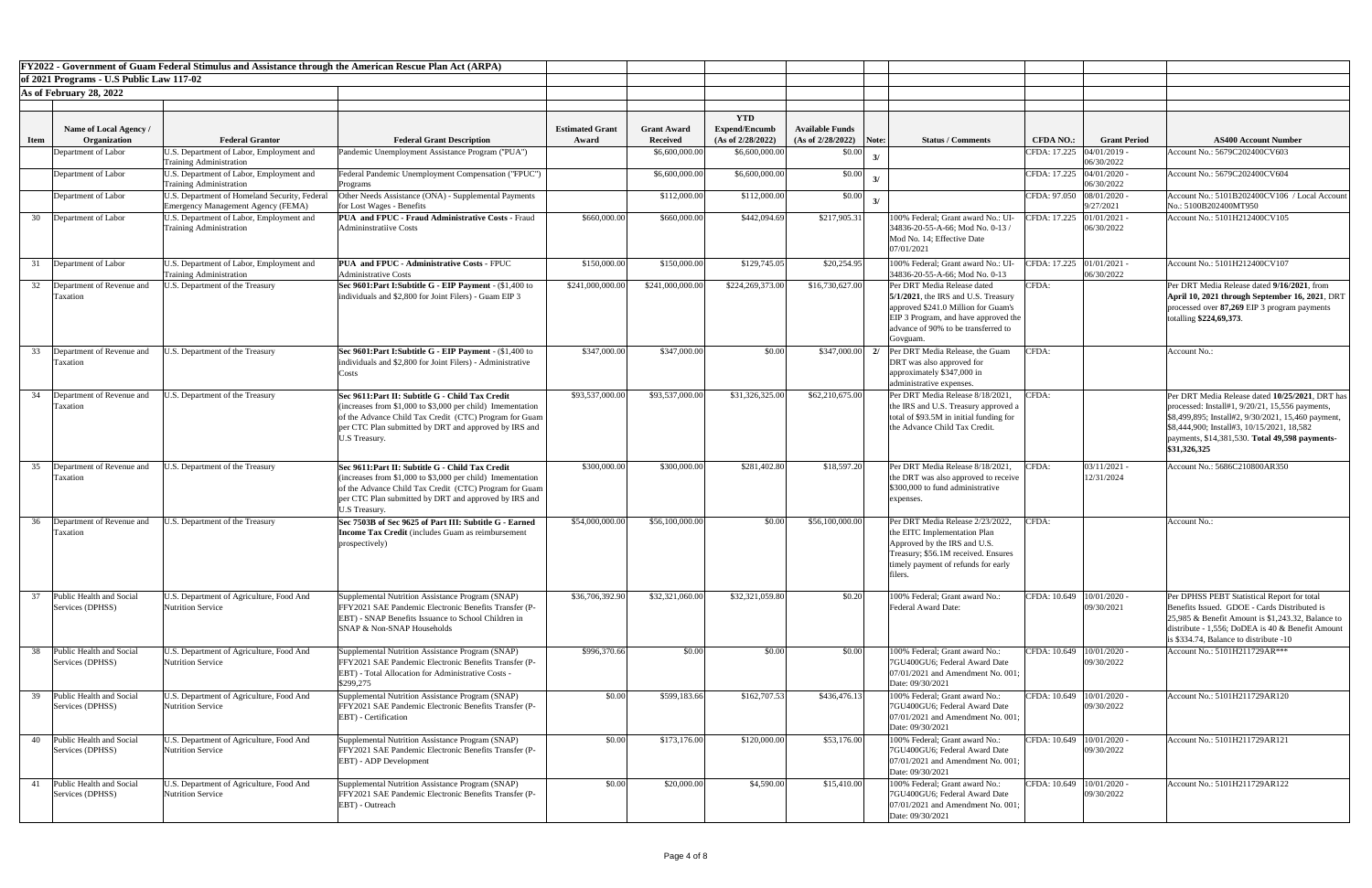|             |                                              | FY2022 - Government of Guam Federal Stimulus and Assistance through the American Rescue Plan Act (ARPA) |                                                                                                                                                                                                                                                      |                                 |                                       |                                                         |                                                     |                                                                                                                                                                                                        |                                 |                              |                                                                                                                                                                                                                                                                            |
|-------------|----------------------------------------------|---------------------------------------------------------------------------------------------------------|------------------------------------------------------------------------------------------------------------------------------------------------------------------------------------------------------------------------------------------------------|---------------------------------|---------------------------------------|---------------------------------------------------------|-----------------------------------------------------|--------------------------------------------------------------------------------------------------------------------------------------------------------------------------------------------------------|---------------------------------|------------------------------|----------------------------------------------------------------------------------------------------------------------------------------------------------------------------------------------------------------------------------------------------------------------------|
|             | of 2021 Programs - U.S Public Law 117-02     |                                                                                                         |                                                                                                                                                                                                                                                      |                                 |                                       |                                                         |                                                     |                                                                                                                                                                                                        |                                 |                              |                                                                                                                                                                                                                                                                            |
|             | As of February 28, 2022                      |                                                                                                         |                                                                                                                                                                                                                                                      |                                 |                                       |                                                         |                                                     |                                                                                                                                                                                                        |                                 |                              |                                                                                                                                                                                                                                                                            |
| <b>Item</b> | Name of Local Agency /<br>Organization       | <b>Federal Grantor</b>                                                                                  | <b>Federal Grant Description</b>                                                                                                                                                                                                                     | <b>Estimated Grant</b><br>Award | <b>Grant Award</b><br><b>Received</b> | <b>YTD</b><br><b>Expend/Encumb</b><br>(As of 2/28/2022) | <b>Available Funds</b><br>$(As of 2/28/2022)$ Note: | <b>Status / Comments</b>                                                                                                                                                                               | <b>CFDA NO.:</b>                | <b>Grant Period</b>          | <b>AS400 Account Number</b>                                                                                                                                                                                                                                                |
|             | Department of Labor                          | J.S. Department of Labor, Employment and<br><b>Training Administration</b>                              | Pandemic Unemployment Assistance Program ("PUA")                                                                                                                                                                                                     |                                 | \$6,600,000.00                        | \$6,600,000.00                                          | \$0.00                                              |                                                                                                                                                                                                        | CFDA: 17.225                    | 04/01/2019 -<br>06/30/2022   | Account No.: 5679C202400CV603                                                                                                                                                                                                                                              |
|             | Department of Labor                          | J.S. Department of Labor, Employment and<br><b>Training Administration</b>                              | Federal Pandemic Unemployment Compensation ("FPUC")<br>Programs                                                                                                                                                                                      |                                 | \$6,600,000.00                        | \$6,600,000.00                                          | \$0.00                                              |                                                                                                                                                                                                        | CFDA: 17.225                    | 04/01/2020<br>06/30/2022     | Account No.: 5679C202400CV604                                                                                                                                                                                                                                              |
|             | Department of Labor                          | J.S. Department of Homeland Security, Federal<br><b>Emergency Management Agency (FEMA)</b>              | Other Needs Assistance (ONA) - Supplemental Payments<br>for Lost Wages - Benefits                                                                                                                                                                    |                                 | \$112,000.00                          | \$112,000.00                                            | \$0.00                                              |                                                                                                                                                                                                        | CFDA: 97.050                    | 08/01/2020 -<br>9/27/2021    | Account No.: 5101B202400CV106 / Local Accoun<br>No.: 5100B202400MT950                                                                                                                                                                                                      |
| 30          | Department of Labor                          | U.S. Department of Labor, Employment and<br><b>Training Administration</b>                              | <b>PUA and FPUC - Fraud Administrative Costs - Fraud</b><br><b>Admininstratiive Costs</b>                                                                                                                                                            | \$660,000.00                    | \$660,000.00                          | \$442,094.69                                            | \$217,905.31                                        | 100% Federal; Grant award No.: UI<br>34836-20-55-A-66; Mod No. 0-13/<br>Mod No. 14; Effective Date<br>07/01/2021                                                                                       | CFDA: 17.225 01/01/2021 -       | 06/30/2022                   | Account No.: 5101H212400CV105                                                                                                                                                                                                                                              |
|             | Department of Labor                          | J.S. Department of Labor, Employment and<br><b>Training Administration</b>                              | <b>PUA and FPUC - Administrative Costs - FPUC</b><br><b>Administrative Costs</b>                                                                                                                                                                     | \$150,000.00                    | \$150,000.00                          | \$129,745.05                                            | \$20,254.95                                         | 100% Federal; Grant award No.: UI<br>34836-20-55-A-66; Mod No. 0-13                                                                                                                                    | CFDA: 17.225 01/01/2021 -       | 06/30/2022                   | Account No.: 5101H212400CV107                                                                                                                                                                                                                                              |
| 32          | Department of Revenue and<br>l axatıon       | J.S. Department of the Treasury                                                                         | Sec 9601: Part I: Subtitle G - EIP Payment - (\$1,400 to<br>individuals and \$2,800 for Joint Filers) - Guam EIP 3                                                                                                                                   | \$241,000,000.00                | \$241,000,000.00                      | \$224,269,373.00                                        | \$16,730,627.00                                     | Per DRT Media Release dated<br>$5/1/2021$ , the IRS and U.S. Treasury<br>approved \$241.0 Million for Guam's<br>EIP 3 Program, and have approved the<br>advance of 90% to be transferred to<br>Govguam | CFDA:                           |                              | Per DRT Media Release dated 9/16/2021, from<br>April 10, 2021 through September 16, 2021, DRT<br>processed over 87,269 EIP 3 program payments<br>totalling \$224,69,373.                                                                                                   |
| 33          | Department of Revenue and<br><b>Taxation</b> | J.S. Department of the Treasury                                                                         | Sec 9601: Part I: Subtitle G - EIP Payment - (\$1,400 to<br>individuals and \$2,800 for Joint Filers) - Administrative<br>Costs                                                                                                                      | \$347,000.00                    | \$347,000.00                          | \$0.00                                                  | \$347,000.00                                        | Per DRT Media Release, the Guam<br>2/<br>DRT was also approved for<br>approximately \$347,000 in<br>administrative expenses.                                                                           | CFDA:                           |                              | Account No.:                                                                                                                                                                                                                                                               |
| 34          | Department of Revenue and<br><b>Taxation</b> | J.S. Department of the Treasury                                                                         | Sec 9611: Part II: Subtitle G - Child Tax Credit<br>(increases from $$1,000$ to $$3,000$ per child) Imementation<br>of the Advance Child Tax Credit (CTC) Program for Guam<br>per CTC Plan submitted by DRT and approved by IRS and<br>U.S Treasury. | \$93,537,000.00                 | \$93,537,000.00                       | \$31,326,325.00                                         | \$62,210,675.00                                     | Per DRT Media Release 8/18/2021<br>the IRS and U.S. Treasury approved a<br>total of \$93.5M in initial funding for<br>the Advance Child Tax Credit.                                                    | CFDA:                           |                              | Per DRT Media Release dated 10/25/2021, DRT ha<br>processed: Install#1, $9/20/21$ , 15,556 payments,<br>\$8,499,895; Install#2, 9/30/2021, 15,460 payment.<br>\$8,444,900; Install#3, 10/15/2021, 18,582<br>payments, \$14,381,530. Total 49,598 payments-<br>\$31,326,325 |
|             | 35 Department of Revenue and<br>Taxation     | J.S. Department of the Treasury                                                                         | Sec 9611: Part II: Subtitle G - Child Tax Credit<br>(increases from \$1,000 to \$3,000 per child) Imementation<br>of the Advance Child Tax Credit (CTC) Program for Guam<br>per CTC Plan submitted by DRT and approved by IRS and<br>U.S Treasury.   | \$300,000.00                    | \$300,000.00                          | \$281,402.80                                            | \$18,597.20                                         | Per DRT Media Release 8/18/2021<br>the DRT was also approved to receive<br>\$300,000 to fund administrative<br>expenses.                                                                               | CFDA:                           | $03/11/2021$ -<br>12/31/2024 | Account No.: 5686C210800AR350                                                                                                                                                                                                                                              |
| 36          | Department of Revenue and<br><b>Taxation</b> | J.S. Department of the Treasury                                                                         | Sec 7503B of Sec 9625 of Part III: Subtitle G - Earned<br><b>Income Tax Credit</b> (includes Guam as reimbursement<br>prospectively)                                                                                                                 | \$54,000,000.00                 | \$56,100,000.00                       | \$0.00                                                  | \$56,100,000.00                                     | Per DRT Media Release 2/23/2022<br>the EITC Implementation Plan<br>Approved by the IRS and U.S.<br>Treasury; \$56.1M received. Ensures<br>timely payment of refunds for early<br>filers.               | CFDA:                           |                              | Account No.:                                                                                                                                                                                                                                                               |
|             | Public Health and Social<br>Services (DPHSS) | U.S. Department of Agriculture, Food And<br><b>Nutrition Service</b>                                    | Supplemental Nutrition Assistance Program (SNAP)<br>FFY2021 SAE Pandemic Electronic Benefits Transfer (P-<br>EBT) - SNAP Benefits Issuance to School Children in<br>SNAP & Non-SNAP Households                                                       | \$36,706,392.90                 | \$32,321,060.00                       | \$32,321,059.80                                         | \$0.20                                              | 100% Federal; Grant award No.:<br><b>Federal Award Date:</b>                                                                                                                                           | CFDA: 10.649   10/01/2020 -     | 09/30/2021                   | Per DPHSS PEBT Statistical Report for total<br>Benefits Issued. GDOE - Cards Distributed is<br>25,985 & Benefit Amount is \$1,243.32, Balance to<br>distribute - 1,556; DoDEA is 40 & Benefit Amount<br>is \$334.74, Balance to distribute -10                             |
| 38          | Public Health and Social<br>Services (DPHSS) | U.S. Department of Agriculture, Food And<br><b>Nutrition Service</b>                                    | Supplemental Nutrition Assistance Program (SNAP)<br>FFY2021 SAE Pandemic Electronic Benefits Transfer (P-<br>EBT) - Total Allocation for Administrative Costs -<br>\$299,275                                                                         | \$996,370.66                    | \$0.00                                | \$0.00                                                  | \$0.00                                              | 100% Federal; Grant award No.:<br>7GU400GU6; Federal Award Date<br>07/01/2021 and Amendment No. 001;<br>Date: 09/30/2021                                                                               | CFDA: $10.649$   $10/01/2020$ - | 09/30/2022                   | Account No.: 5101H211729AR***                                                                                                                                                                                                                                              |
|             | Public Health and Social<br>Services (DPHSS) | U.S. Department of Agriculture, Food And<br><b>Nutrition Service</b>                                    | Supplemental Nutrition Assistance Program (SNAP)<br>FFY2021 SAE Pandemic Electronic Benefits Transfer (P-<br><b>EBT</b> ) - Certification                                                                                                            | \$0.00                          | \$599,183.66                          | \$162,707.53                                            | \$436,476.13                                        | 100% Federal; Grant award No.:<br>7GU400GU6; Federal Award Date<br>$[07/01/2021$ and Amendment No. 001;<br>Date: 09/30/2021                                                                            | $ CFDA: 10.649   10/01/2020 -$  | 09/30/2022                   | Account No.: 5101H211729AR120                                                                                                                                                                                                                                              |
| 40          | Public Health and Social<br>Services (DPHSS) | J.S. Department of Agriculture, Food And<br><b>Nutrition Service</b>                                    | Supplemental Nutrition Assistance Program (SNAP)<br>FFY2021 SAE Pandemic Electronic Benefits Transfer (P-<br>EBT) - ADP Development                                                                                                                  | \$0.00                          | \$173,176.00                          | \$120,000.00                                            | \$53,176.00                                         | 100% Federal; Grant award No.:<br>7GU400GU6; Federal Award Date<br>$[07/01/2021$ and Amendment No. 001;<br>Date: 09/30/2021                                                                            | CFDA: 10.649   10/01/2020 -     | 09/30/2022                   | Account No.: 5101H211729AR121                                                                                                                                                                                                                                              |
|             | Public Health and Social<br>Services (DPHSS) | J.S. Department of Agriculture, Food And<br><b>Nutrition Service</b>                                    | Supplemental Nutrition Assistance Program (SNAP)<br><b>IFFY2021 SAE Pandemic Electronic Benefits Transfer (P-</b><br>EBT) - Outreach                                                                                                                 | \$0.00                          | \$20,000.00                           | \$4,590.00                                              | \$15,410.00                                         | 100% Federal; Grant award No.:<br>7GU400GU6; Federal Award Date<br>07/01/2021 and Amendment No. 001;<br>Date: 09/30/2021                                                                               | CFDA: 10.649   10/01/2020 -     | 09/30/2022                   | Account No.: 5101H211729AR122                                                                                                                                                                                                                                              |

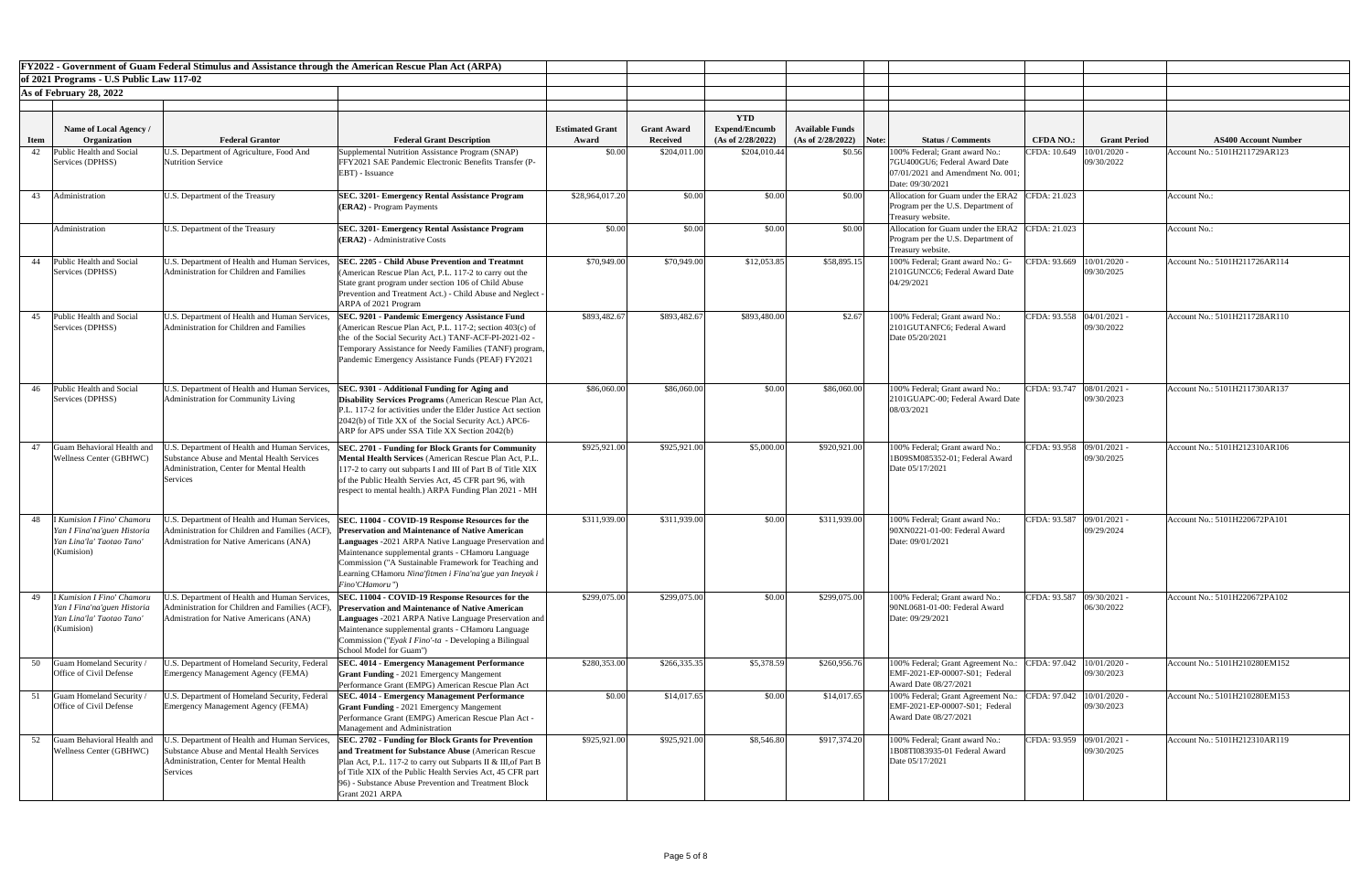|             |                                                                                                             | FY2022 - Government of Guam Federal Stimulus and Assistance through the American Rescue Plan Act (ARPA)                                             |                                                                                                                                                                                                                                                                                                                                                                 |                        |                    |                      |                           |                                                                                                                           |                             |                            |                               |
|-------------|-------------------------------------------------------------------------------------------------------------|-----------------------------------------------------------------------------------------------------------------------------------------------------|-----------------------------------------------------------------------------------------------------------------------------------------------------------------------------------------------------------------------------------------------------------------------------------------------------------------------------------------------------------------|------------------------|--------------------|----------------------|---------------------------|---------------------------------------------------------------------------------------------------------------------------|-----------------------------|----------------------------|-------------------------------|
|             | of 2021 Programs - U.S Public Law 117-02                                                                    |                                                                                                                                                     |                                                                                                                                                                                                                                                                                                                                                                 |                        |                    |                      |                           |                                                                                                                           |                             |                            |                               |
|             | As of February 28, 2022                                                                                     |                                                                                                                                                     |                                                                                                                                                                                                                                                                                                                                                                 |                        |                    |                      |                           |                                                                                                                           |                             |                            |                               |
|             |                                                                                                             |                                                                                                                                                     |                                                                                                                                                                                                                                                                                                                                                                 |                        |                    | <b>YTD</b>           |                           |                                                                                                                           |                             |                            |                               |
|             | Name of Local Agency /                                                                                      |                                                                                                                                                     |                                                                                                                                                                                                                                                                                                                                                                 | <b>Estimated Grant</b> | <b>Grant Award</b> | <b>Expend/Encumb</b> | <b>Available Funds</b>    |                                                                                                                           |                             |                            |                               |
| <b>Item</b> | Organization                                                                                                | <b>Federal Grantor</b>                                                                                                                              | <b>Federal Grant Description</b>                                                                                                                                                                                                                                                                                                                                | Award                  | <b>Received</b>    | (As of 2/28/2022)    | $(As of 2/28/2022)$ Note: | <b>Status / Comments</b>                                                                                                  | <b>CFDA NO.:</b>            | <b>Grant Period</b>        | <b>AS400 Account Number</b>   |
| 42          | Public Health and Social<br>Services (DPHSS)                                                                | U.S. Department of Agriculture, Food And<br>Nutrition Service                                                                                       | Supplemental Nutrition Assistance Program (SNAP)<br><b>FFY2021 SAE Pandemic Electronic Benefits Transfer (P-</b><br>EBT) - Issuance                                                                                                                                                                                                                             | \$0.00                 | \$204,011.00       | \$204,010.44         | \$0.56                    | 100% Federal; Grant award No.:<br>7GU400GU6; Federal Award Date<br>07/01/2021 and Amendment No. 001;<br>Date: 09/30/2021  | CFDA: 10.649                | 10/01/2020<br>09/30/2022   | Account No.: 5101H211729AR123 |
| 43          | Administration                                                                                              | U.S. Department of the Treasury                                                                                                                     | <b>SEC. 3201- Emergency Rental Assistance Program</b><br>$ (\text{ERA2})$ - Program Payments                                                                                                                                                                                                                                                                    | \$28,964,017.20        | \$0.00             | \$0.00               | \$0.00                    | Allocation for Guam under the ERA2 CFDA: 21.023<br>Program per the U.S. Department of<br>Treasury website.                |                             |                            | Account No.:                  |
|             | Administration                                                                                              | U.S. Department of the Treasury                                                                                                                     | <b>SEC. 3201- Emergency Rental Assistance Program</b><br>$ ERA2\rangle$ - Administrative Costs                                                                                                                                                                                                                                                                  | \$0.00                 | \$0.00             | \$0.00               | \$0.00                    | Allocation for Guam under the ERA2 CFDA: 21.023<br>Program per the U.S. Department of<br>Treasury website.                |                             |                            | Account No.:                  |
| 44          | Public Health and Social<br>Services (DPHSS)                                                                | U.S. Department of Health and Human Services,<br>Administration for Children and Families                                                           | <b>SEC. 2205 - Child Abuse Prevention and Treatmnt</b><br>(American Rescue Plan Act, P.L. 117-2 to carry out the<br>State grant program under section 106 of Child Abuse<br>Prevention and Treatment Act.) - Child Abuse and Neglect -<br>ARPA of 2021 Program                                                                                                  | \$70,949.00            | \$70,949.00        | \$12,053.85          | \$58,895.15               | 100% Federal; Grant award No.: G-<br>2101GUNCC6; Federal Award Date<br>04/29/2021                                         | CFDA: 93.669   10/01/2020 - | 09/30/2025                 | Account No.: 5101H211726AR114 |
| 45          | Public Health and Social<br>Services (DPHSS)                                                                | U.S. Department of Health and Human Services,<br>Administration for Children and Families                                                           | SEC. 9201 - Pandemic Emergency Assistance Fund<br>(American Rescue Plan Act, P.L. 117-2; section 403(c) of<br>the of the Social Security Act.) TANF-ACF-PI-2021-02 -<br>Temporary Assistance for Needy Families (TANF) program,<br>Pandemic Emergency Assistance Funds (PEAF) FY2021                                                                            | \$893,482.67           | \$893,482.67       | \$893,480.00         | \$2.67                    | 100% Federal; Grant award No.:<br>2101GUTANFC6; Federal Award<br>Date 05/20/2021                                          | CFDA: 93.558 04/01/2021 -   | 09/30/2022                 | Account No.: 5101H211728AR110 |
| 46          | Public Health and Social<br>Services (DPHSS)                                                                | U.S. Department of Health and Human Services,<br>Administration for Community Living                                                                | SEC. 9301 - Additional Funding for Aging and<br>Disability Services Programs (American Rescue Plan Act,<br>P.L. 117-2 for activities under the Elder Justice Act section<br>2042(b) of Title XX of the Social Security Act.) APC6-<br>ARP for APS under SSA Title XX Section 2042(b)                                                                            | \$86,060.00            | \$86,060.00        | \$0.00               | \$86,060.00               | 100% Federal; Grant award No.:<br>2101GUAPC-00; Federal Award Date<br>08/03/2021                                          | CFDA: 93.747 08/01/2021     | 09/30/2023                 | Account No.: 5101H211730AR137 |
| 47          | Guam Behavioral Health and<br><b>Wellness Center (GBHWC)</b>                                                | J.S. Department of Health and Human Services.<br>Substance Abuse and Mental Health Services<br>Administration, Center for Mental Health<br>Services | <b>SEC. 2701 - Funding for Block Grants for Community</b><br>Mental Health Services (American Rescue Plan Act, P.L.<br>117-2 to carry out subparts I and III of Part B of Title XIX<br>of the Public Health Servies Act, 45 CFR part 96, with<br>respect to mental health.) ARPA Funding Plan 2021 - MH                                                         | \$925,921.00           | \$925,921.00       | \$5,000.00           | \$920,921.00              | 100% Federal; Grant award No.:<br>1B09SM085352-01; Federal Award<br>Date 05/17/2021                                       | CFDA: 93.958 09/01/2021 -   | 09/30/2025                 | Account No.: 5101H212310AR106 |
| 48          | <b>I Kumision I Fino' Chamoru</b><br>Yan I Fina'na'guen Historia<br>Yan Lina'la' Taotao Tano'<br>(Kumision) | J.S. Department of Health and Human Services,<br>Administration for Children and Families (ACF<br>Admistration for Native Americans (ANA)           | SEC. 11004 - COVID-19 Response Resources for the<br><b>Preservation and Maintenance of Native American</b><br>Languages -2021 ARPA Native Language Preservation and<br>Maintenance supplemental grants - CHamoru Language<br>Commission ("A Sustainable Framework for Teaching and<br>Learning CHamoru Nina'fitmen i Fina'na'gue yan Ineyak i<br>Fino'CHamoru") | \$311,939.00           | \$311,939.00       | \$0.00               | \$311,939.00              | 100% Federal; Grant award No.:<br>90XN0221-01-00: Federal Award<br>Date: 09/01/2021                                       | CFDA: 93.587 09/01/2021 ·   | 09/29/2024                 | Account No.: 5101H220672PA101 |
|             | <b>I Kumision I Fino' Chamoru</b><br>Yan I Fina'na'guen Historia<br>Yan Lina'la' Taotao Tano<br>(Kumision)  | .S. Department of Health and Human Services,<br>Administration for Children and Families (ACF)<br>Admistration for Native Americans (ANA)           | SEC. 11004 - COVID-19 Response Resources for the<br><b>Preservation and Maintenance of Native American</b><br>Languages -2021 ARPA Native Language Preservation and<br>Maintenance supplemental grants - CHamoru Language<br>Commission ("Eyak I Fino'-ta - Developing a Bilingual<br>School Model for Guam")                                                   | \$299,075.00           | \$299,075.00       | \$0.00               | \$299,075.00              | 100% Federal; Grant award No.:<br>90NL0681-01-00: Federal Award<br>Date: 09/29/2021                                       | CFDA: 93.587                | 09/30/2021 -<br>06/30/2022 | Account No.: 5101H220672PA102 |
| 50          | <b>Guam Homeland Security</b><br>Office of Civil Defense                                                    | U.S. Department of Homeland Security, Federal<br>Emergency Management Agency (FEMA)                                                                 | <b>SEC. 4014 - Emergency Management Performance</b><br><b>Grant Funding - 2021 Emergency Mangement</b><br>Performance Grant (EMPG) American Rescue Plan Act                                                                                                                                                                                                     | \$280,353.00           | \$266,335.35       | \$5,378.59           | \$260,956.76              | 100% Federal; Grant Agreement No.:<br>EMF-2021-EP-00007-S01; Federal<br>Award Date 08/27/2021                             | CFDA: 97.042                | 10/01/2020<br>09/30/2023   | Account No.: 5101H210280EM152 |
|             | Guam Homeland Security<br>Office of Civil Defense                                                           | U.S. Department of Homeland Security, Federal<br>Emergency Management Agency (FEMA)                                                                 | <b>SEC. 4014 - Emergency Management Performance</b><br><b>Grant Funding - 2021 Emergency Mangement</b><br>Performance Grant (EMPG) American Rescue Plan Act -<br>Management and Administration                                                                                                                                                                  | \$0.00                 | \$14,017.65        | \$0.00               | \$14,017.65               | 100% Federal; Grant Agreement No.: CFDA: 97.042   10/01/2020 -<br>EMF-2021-EP-00007-S01; Federal<br>Award Date 08/27/2021 |                             | 09/30/2023                 | Account No.: 5101H210280EM153 |
| 52          | Guam Behavioral Health and<br><b>Wellness Center (GBHWC)</b>                                                | U.S. Department of Health and Human Services.<br>Substance Abuse and Mental Health Services<br>Administration, Center for Mental Health<br>Services | <b>SEC. 2702 - Funding for Block Grants for Prevention</b><br>and Treatment for Substance Abuse (American Rescue)<br>Plan Act, P.L. 117-2 to carry out Subparts II & III, of Part B<br>of Title XIX of the Public Health Servies Act, 45 CFR part<br>[96] - Substance Abuse Prevention and Treatment Block<br>Grant 2021 ARPA                                   | \$925,921.00           | \$925,921.00       | \$8,546.80           | \$917,374.20              | 100% Federal; Grant award No.:<br>1B08TI083935-01 Federal Award<br>Date 05/17/2021                                        | CFDA: 93.959 09/01/2021 -   | 09/30/2025                 | Account No.: 5101H212310AR119 |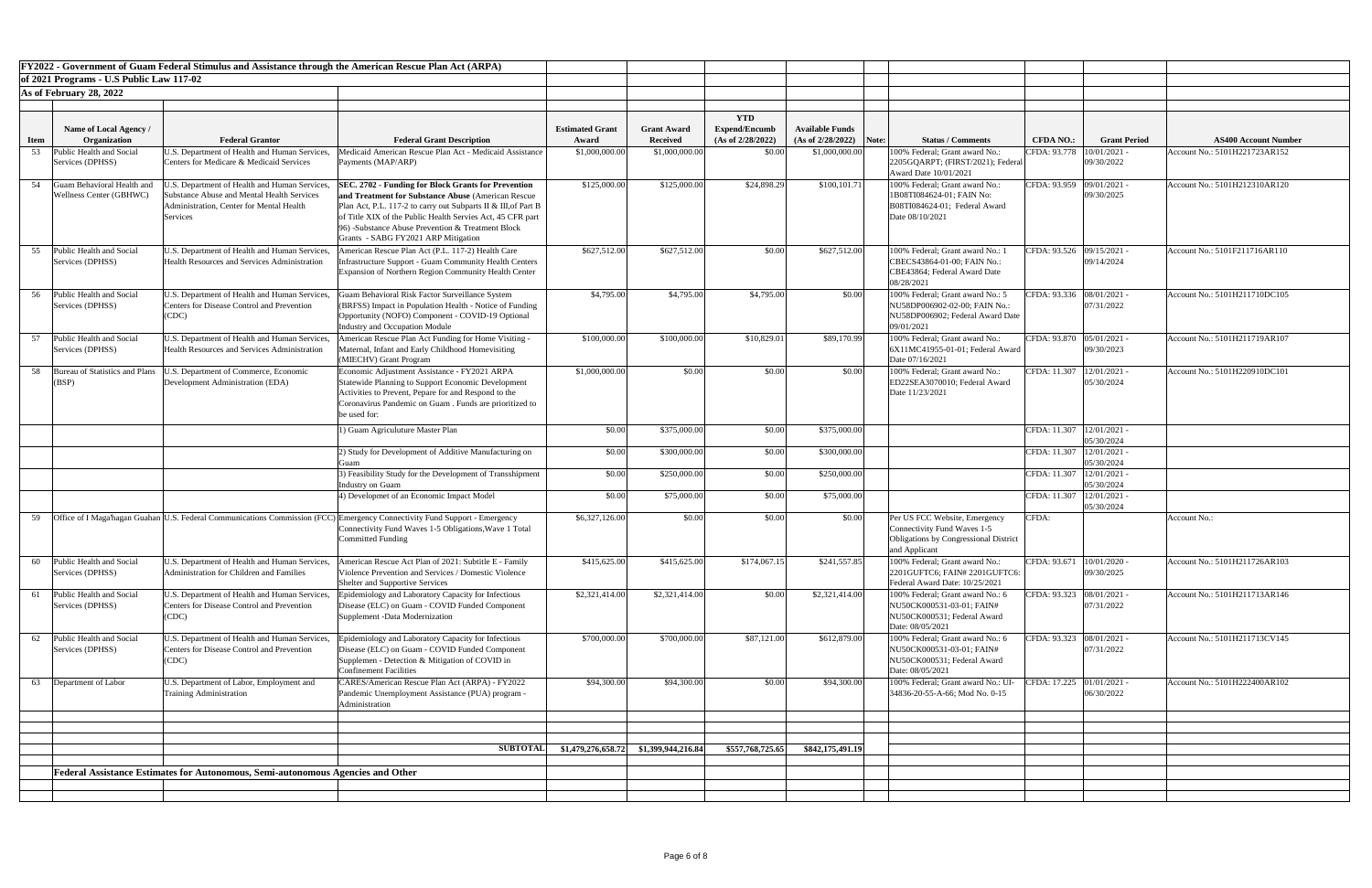|             |                                                        | FY2022 - Government of Guam Federal Stimulus and Assistance through the American Rescue Plan Act (ARPA)                                                           |                                                                                                                                                                                                                                                                                                                                                |                        |                                         |                                    |                                     |                                                                                                                               |                                  |                                       |                                                              |
|-------------|--------------------------------------------------------|-------------------------------------------------------------------------------------------------------------------------------------------------------------------|------------------------------------------------------------------------------------------------------------------------------------------------------------------------------------------------------------------------------------------------------------------------------------------------------------------------------------------------|------------------------|-----------------------------------------|------------------------------------|-------------------------------------|-------------------------------------------------------------------------------------------------------------------------------|----------------------------------|---------------------------------------|--------------------------------------------------------------|
|             | of 2021 Programs - U.S Public Law 117-02               |                                                                                                                                                                   |                                                                                                                                                                                                                                                                                                                                                |                        |                                         |                                    |                                     |                                                                                                                               |                                  |                                       |                                                              |
|             | As of February 28, 2022                                |                                                                                                                                                                   |                                                                                                                                                                                                                                                                                                                                                |                        |                                         |                                    |                                     |                                                                                                                               |                                  |                                       |                                                              |
|             | Name of Local Agency /                                 |                                                                                                                                                                   |                                                                                                                                                                                                                                                                                                                                                | <b>Estimated Grant</b> | <b>Grant Award</b>                      | <b>YTD</b><br><b>Expend/Encumb</b> | <b>Available Funds</b>              |                                                                                                                               |                                  |                                       |                                                              |
| <b>Item</b> | <b>Organization</b><br><b>Public Health and Social</b> | <b>Federal Grantor</b><br>J.S. Department of Health and Human Services,                                                                                           | <b>Federal Grant Description</b><br>Medicaid American Rescue Plan Act - Medicaid Assistance                                                                                                                                                                                                                                                    | Award<br>\$1,000,000.0 | <b>Received</b><br>\$1,000,000.00       | (As of 2/28/2022)<br>\$0.00        | (As of 2/28/2022)<br>\$1,000,000.00 | Note:<br><b>Status / Comments</b><br>100% Federal; Grant award No.:                                                           | <b>CFDA NO.:</b><br>CFDA: 93.778 | <b>Grant Period</b><br>$10/01/2021$ - | <b>AS400 Account Number</b><br>Account No.: 5101H221723AR152 |
| 53          | Services (DPHSS)                                       | Centers for Medicare & Medicaid Services                                                                                                                          | Payments (MAP/ARP)                                                                                                                                                                                                                                                                                                                             |                        |                                         |                                    |                                     | 2205GQARPT; (FIRST/2021); Federal<br>Award Date 10/01/2021                                                                    |                                  | 09/30/2022                            |                                                              |
| 54          | Fuam Behavioral Health and<br>Wellness Center (GBHWC)  | J.S. Department of Health and Human Services,<br><b>Substance Abuse and Mental Health Services</b><br><b>Administration, Center for Mental Health</b><br>Services | <b>SEC. 2702 - Funding for Block Grants for Prevention</b><br>and Treatment for Substance Abuse (American Rescue)<br>Plan Act, P.L. 117-2 to carry out Subparts II & III, of Part B<br>of Title XIX of the Public Health Servies Act, 45 CFR part<br>[96] -Substance Abuse Prevention & Treatment Block<br>Grants - SABG FY2021 ARP Mitigation | \$125,000.0            | \$125,000.00                            | \$24,898.29                        | \$100,101.71                        | 100% Federal; Grant award No.:<br>1B08TI084624-01; FAIN No:<br>B08TI084624-01; Federal Award<br>Date 08/10/2021               | CFDA: 93.959                     | 09/01/2021 -<br>09/30/2025            | Account No.: 5101H212310AR120                                |
| 55          | Public Health and Social<br>Services (DPHSS)           | J.S. Department of Health and Human Services,<br><b>Health Resources and Services Administration</b>                                                              | American Rescue Plan Act (P.L. 117-2) Health Care<br>Infrastructure Support - Guam Community Health Centers<br>Expansion of Northern Region Community Health Center                                                                                                                                                                            | \$627,512.00           | \$627,512.00                            | \$0.00                             | \$627,512.00                        | 100% Federal; Grant award No.: 1<br>CBECS43864-01-00; FAIN No.:<br>CBE43864; Federal Award Date<br>08/28/2021                 | CFDA: 93.526 09/15/2021 -        | 09/14/2024                            | Account No.: 5101F211716AR110                                |
| 56          | Public Health and Social<br>Services (DPHSS)           | U.S. Department of Health and Human Services,<br>Centers for Disease Control and Prevention<br>(CDC)                                                              | Guam Behavioral Risk Factor Surveillance System<br>(BRFSS) Impact in Population Health - Notice of Funding<br>Opportunity (NOFO) Component - COVID-19 Optional<br>Industry and Occupation Module                                                                                                                                               | \$4,795.00             | \$4,795.00                              | \$4,795.00                         | \$0.00                              | 100% Federal; Grant award No.: 5<br>NU58DP006902-02-00; FAIN No.:<br>NU58DP006902; Federal Award Date<br>09/01/2021           | CFDA: 93.336 08/01/2021 -        | 07/31/2022                            | Account No.: 5101H211710DC105                                |
|             | Public Health and Social<br>Services (DPHSS)           | U.S. Department of Health and Human Services,<br><b>Health Resources and Services Administration</b>                                                              | American Rescue Plan Act Funding for Home Visiting -<br>Maternal, Infant and Early Childhood Homevisiting<br>(MIECHV) Grant Program                                                                                                                                                                                                            | \$100,000.00           | \$100,000.00                            | \$10,829.01                        | \$89,170.99                         | 100% Federal; Grant award No.:<br>6X11MC41955-01-01; Federal Award<br>Date 07/16/2021                                         | CFDA: 93.870 05/01/2021 -        | 09/30/2023                            | Account No.: 5101H211719AR107                                |
| 58          | Bureau of Statistics and Plans<br>(BSP)                | U.S. Department of Commerce, Economic<br>Development Administration (EDA)                                                                                         | Economic Adjustment Assistance - FY2021 ARPA<br>Statewide Planning to Support Economic Development<br>Activities to Prevent, Pepare for and Respond to the<br>Coronavirus Pandemic on Guam . Funds are prioritized to<br>be used for:                                                                                                          | \$1,000,000.00         | \$0.00                                  | \$0.00                             | \$0.00                              | 100% Federal; Grant award No.:<br>ED22SEA3070010; Federal Award<br>Date 11/23/2021                                            | CFDA: 11.307   12/01/2021 -      | 05/30/2024                            | Account No.: 5101H220910DC101                                |
|             |                                                        |                                                                                                                                                                   | 1) Guam Agriculuture Master Plan                                                                                                                                                                                                                                                                                                               | \$0.00                 | \$375,000.00                            | \$0.00                             | \$375,000.00                        |                                                                                                                               | CFDA: 11.307   12/01/2021 -      | 05/30/2024                            |                                                              |
|             |                                                        |                                                                                                                                                                   | 2) Study for Development of Additive Manufacturing on                                                                                                                                                                                                                                                                                          | \$0.00                 | \$300,000.00                            | \$0.00                             | \$300,000.00                        |                                                                                                                               | CFDA: 11.307   12/01/2021 -      | 05/30/2024                            |                                                              |
|             |                                                        |                                                                                                                                                                   | 3) Feasibility Study for the Development of Transshipment<br><b>Industry on Guam</b>                                                                                                                                                                                                                                                           | \$0.00                 | \$250,000.00                            | \$0.00                             | \$250,000.00                        |                                                                                                                               | CFDA: 11.307   12/01/2021 -      | 05/30/2024                            |                                                              |
|             |                                                        |                                                                                                                                                                   | 4) Developmet of an Economic Impact Model                                                                                                                                                                                                                                                                                                      | \$0.00                 | \$75,000.00                             | \$0.00                             | \$75,000.00                         |                                                                                                                               | CFDA: 11.307   12/01/2021 -      | 05/30/2024                            |                                                              |
| 59          |                                                        |                                                                                                                                                                   | Office of I Maga'hagan Guahan U.S. Federal Communications Commission (FCC) Emergency Connectivity Fund Support - Emergency<br>Connectivity Fund Waves 1-5 Obligations, Wave 1 Total<br><b>Committed Funding</b>                                                                                                                                | \$6,327,126.00         | \$0.00                                  | \$0.00                             | \$0.00                              | Per US FCC Website, Emergency<br><b>Connectivity Fund Waves 1-5</b><br>Obligations by Congressional District<br>and Applicant | CFDA:                            |                                       | <b>Account No.:</b>                                          |
| 60          | Public Health and Social<br>Services (DPHSS)           | J.S. Department of Health and Human Services,<br>Administration for Children and Families                                                                         | American Rescue Act Plan of 2021: Subtitle E - Family<br>Violence Prevention and Services / Domestic Violence<br>Shelter and Supportive Services                                                                                                                                                                                               | \$415,625.00           | \$415,625.00                            | \$174,067.15                       | \$241,557.85                        | 100% Federal; Grant award No.:<br>2201GUFTC6; FAIN# 2201GUFTC6:<br>Federal Award Date: 10/25/2021                             | CFDA: 93.671                     | $10/01/2020$ -<br>09/30/2025          | Account No.: 5101H211726AR103                                |
| 61          | Public Health and Social<br>Services (DPHSS)           | U.S. Department of Health and Human Services,<br>Centers for Disease Control and Prevention<br>(CDC)                                                              | Epidemiology and Laboratory Capacity for Infectious<br>Disease (ELC) on Guam - COVID Funded Component<br>Supplement -Data Modernization                                                                                                                                                                                                        | \$2,321,414.00         | \$2,321,414.00                          | \$0.00                             | \$2,321,414.00                      | 100% Federal; Grant award No.: 6<br>NU50CK000531-03-01; FAIN#<br>NU50CK000531; Federal Award<br>Date: 08/05/2021              | CFDA: 93.323 08/01/2021 -        | 07/31/2022                            | Account No.: 5101H211713AR146                                |
| 62          | Public Health and Social<br>Services (DPHSS)           | U.S. Department of Health and Human Services,<br>Centers for Disease Control and Prevention<br>(CDC)                                                              | Epidemiology and Laboratory Capacity for Infectious<br>Disease (ELC) on Guam - COVID Funded Component<br>Supplemen - Detection & Mitigation of COVID in<br><b>Confinement Facilities</b>                                                                                                                                                       | \$700,000.00           | \$700,000.00                            | \$87,121.00                        | \$612,879.00                        | 100% Federal; Grant award No.: 6<br>NU50CK000531-03-01; FAIN#<br>NU50CK000531; Federal Award<br>Date: 08/05/2021              | CFDA: 93.323   08/01/2021 -      | 07/31/2022                            | Account No.: 5101H211713CV145                                |
| 63          | Department of Labor                                    | U.S. Department of Labor, Employment and<br><b>Training Administration</b>                                                                                        | CARES/American Rescue Plan Act (ARPA) - FY2022<br>Pandemic Unemployment Assistance (PUA) program -<br>Administration                                                                                                                                                                                                                           | \$94,300.00            | \$94,300.00                             | \$0.00                             | \$94,300.00                         | 100% Federal; Grant award No.: UI-<br>34836-20-55-A-66; Mod No. 0-15                                                          | CFDA: 17.225 01/01/2021 -        | 06/30/2022                            | Account No.: 5101H222400AR102                                |
|             |                                                        |                                                                                                                                                                   | <b>SUBTOTALI</b>                                                                                                                                                                                                                                                                                                                               |                        | $$1,479,276,658.72$ $$1,399,944,216.84$ | \$557,768,725.65                   | \$842,175,491.19                    |                                                                                                                               |                                  |                                       |                                                              |
|             |                                                        | Federal Assistance Estimates for Autonomous, Semi-autonomous Agencies and Other                                                                                   |                                                                                                                                                                                                                                                                                                                                                |                        |                                         |                                    |                                     |                                                                                                                               |                                  |                                       |                                                              |
|             |                                                        |                                                                                                                                                                   |                                                                                                                                                                                                                                                                                                                                                |                        |                                         |                                    |                                     |                                                                                                                               |                                  |                                       |                                                              |
|             |                                                        |                                                                                                                                                                   |                                                                                                                                                                                                                                                                                                                                                |                        |                                         |                                    |                                     |                                                                                                                               |                                  |                                       |                                                              |

| <b>Number</b>      |
|--------------------|
| $\overline{R152}$  |
|                    |
| $\overline{R120}$  |
|                    |
|                    |
|                    |
| $\overline{R}$ 110 |
|                    |
|                    |
| $\overline{C105}$  |
|                    |
|                    |
| $\overline{R107}$  |
|                    |
| $\overline{C101}$  |
|                    |
|                    |
|                    |
|                    |
|                    |
|                    |
|                    |
|                    |
|                    |
|                    |
|                    |
|                    |
| R103               |
|                    |
| R146               |
|                    |
|                    |
| V145               |
|                    |
| $\overline{R102}$  |
|                    |
|                    |
|                    |
|                    |
|                    |
|                    |
|                    |
|                    |
|                    |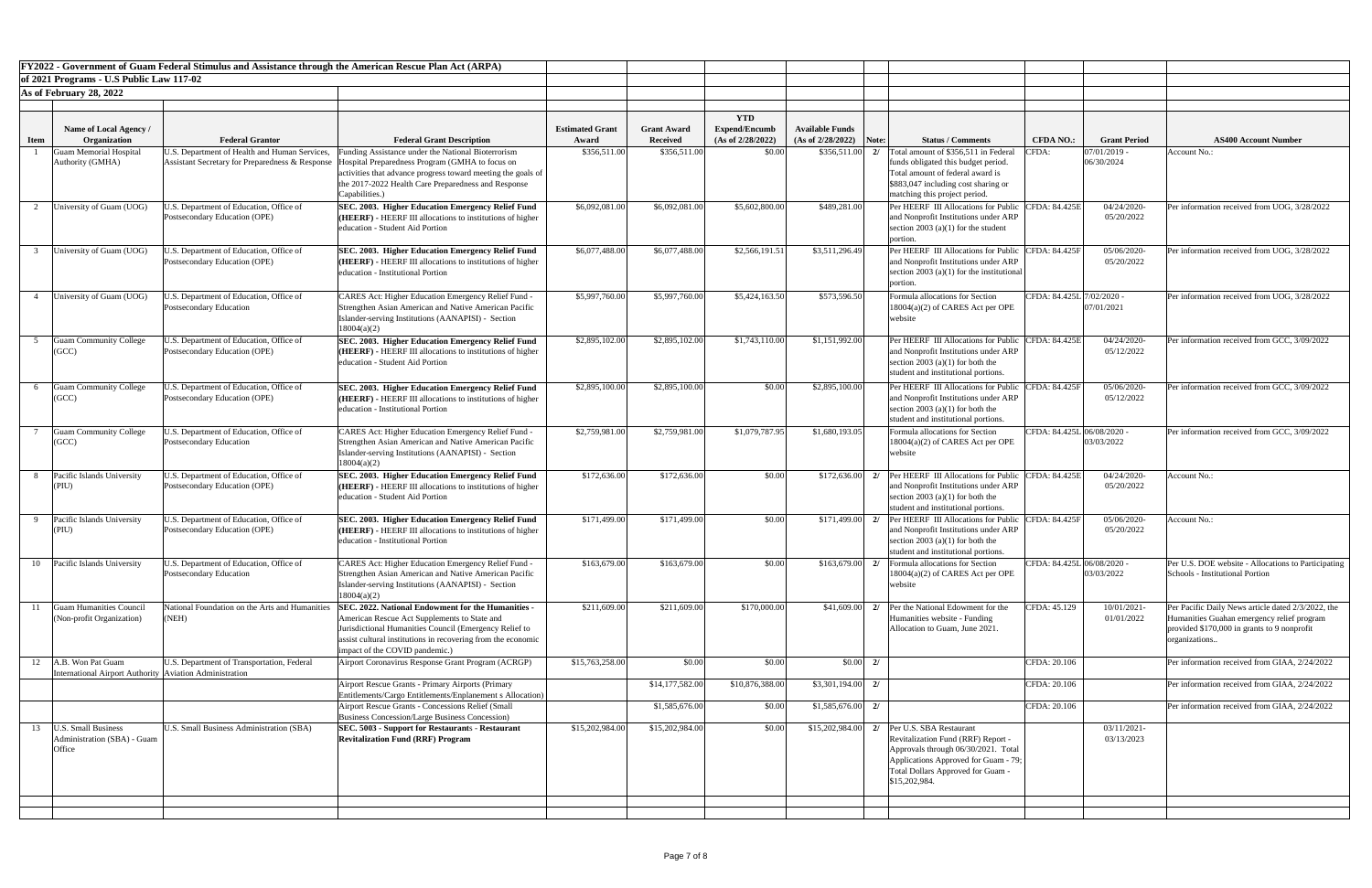|             |                                                                                | FY2022 - Government of Guam Federal Stimulus and Assistance through the American Rescue Plan Act (ARPA) |                                                                                                                                                                                                                                                                                                 |                                 |                                       |                                                         |                                                     |                                                                                                                                                                                                                        |                            |                           |                                                                                                                                                                   |
|-------------|--------------------------------------------------------------------------------|---------------------------------------------------------------------------------------------------------|-------------------------------------------------------------------------------------------------------------------------------------------------------------------------------------------------------------------------------------------------------------------------------------------------|---------------------------------|---------------------------------------|---------------------------------------------------------|-----------------------------------------------------|------------------------------------------------------------------------------------------------------------------------------------------------------------------------------------------------------------------------|----------------------------|---------------------------|-------------------------------------------------------------------------------------------------------------------------------------------------------------------|
|             | of 2021 Programs - U.S Public Law 117-02                                       |                                                                                                         |                                                                                                                                                                                                                                                                                                 |                                 |                                       |                                                         |                                                     |                                                                                                                                                                                                                        |                            |                           |                                                                                                                                                                   |
|             | As of February 28, 2022                                                        |                                                                                                         |                                                                                                                                                                                                                                                                                                 |                                 |                                       |                                                         |                                                     |                                                                                                                                                                                                                        |                            |                           |                                                                                                                                                                   |
| <b>Item</b> | Name of Local Agency /<br>Organization                                         | <b>Federal Grantor</b>                                                                                  | <b>Federal Grant Description</b>                                                                                                                                                                                                                                                                | <b>Estimated Grant</b><br>Award | <b>Grant Award</b><br><b>Received</b> | <b>YTD</b><br><b>Expend/Encumb</b><br>(As of 2/28/2022) | <b>Available Funds</b><br>$(As of 2/28/2022)$ Note: | <b>Status / Comments</b>                                                                                                                                                                                               | <b>CFDA NO.:</b>           | <b>Grant Period</b>       | <b>AS400 Account Number</b>                                                                                                                                       |
|             | <b>Guam Memorial Hospital</b><br>Authority (GMHA)                              | U.S. Department of Health and Human Services,                                                           | Funding Assistance under the National Bioterrorism<br>Assistant Secretary for Preparedness & Response  Hospital Preparedness Program (GMHA to focus on<br>activities that advance progress toward meeting the goals of<br>the 2017-2022 Health Care Preparedness and Response<br>Capabilities.) | \$356,511.00                    | \$356,511.00                          | \$0.00                                                  | \$356,511.00                                        | Total amount of \$356,511 in Federal<br>funds obligated this budget period.<br>Total amount of federal award is<br>\$883,047 including cost sharing or<br>matching this project period.                                | CFDA:                      | 07/01/2019<br>06/30/2024  | Account No.:                                                                                                                                                      |
|             | University of Guam (UOG)                                                       | J.S. Department of Education, Office of<br>Postsecondary Education (OPE)                                | <b>SEC. 2003. Higher Education Emergency Relief Fund</b><br><b>(HEERF)</b> - HEERF III allocations to institutions of higher<br>education - Student Aid Portion                                                                                                                                 | \$6,092,081.00                  | \$6,092,081.00                        | \$5,602,800.00                                          | \$489,281.00                                        | <b>Per HEERF</b> III Allocations for Public<br>and Nonprofit Institutions under ARP<br>section 2003 (a)(1) for the student<br>portion                                                                                  | CFDA: 84.425E              | 04/24/2020-<br>05/20/2022 | Per information received from UOG, 3/28/2022                                                                                                                      |
|             | University of Guam (UOG)                                                       | J.S. Department of Education, Office of<br>Postsecondary Education (OPE)                                | <b>SEC. 2003. Higher Education Emergency Relief Fund</b><br>$HEERF$ ) - HEERF III allocations to institutions of higher<br>education - Institutional Portion                                                                                                                                    | \$6,077,488.00                  | \$6,077,488.00                        | \$2,566,191.51                                          | \$3,511,296.49                                      | Per HEERF III Allocations for Public CFDA: 84.425F<br>and Nonprofit Institutions under ARP<br>section 2003 (a)(1) for the institutional<br>portion                                                                     |                            | 05/06/2020<br>05/20/2022  | Per information received from UOG, 3/28/2022                                                                                                                      |
|             | University of Guam (UOG)                                                       | J.S. Department of Education, Office of<br>Postsecondary Education                                      | CARES Act: Higher Education Emergency Relief Fund -<br>Strengthen Asian American and Native American Pacific<br>Islander-serving Institutions (AANAPISI) - Section<br>18004(a)(2)                                                                                                               | \$5,997,760.00                  | \$5,997,760.00                        | \$5,424,163.50                                          | \$573,596.50                                        | Formula allocations for Section<br>18004(a)(2) of CARES Act per OPE<br>website                                                                                                                                         | CFDA: 84.425L 7/02/2020 -  | 07/01/2021                | Per information received from UOG, 3/28/2022                                                                                                                      |
|             | Guam Community College<br>(GCC)                                                | J.S. Department of Education, Office of<br>Postsecondary Education (OPE)                                | <b>SEC. 2003. Higher Education Emergency Relief Fund</b><br>$H(HEERF) - HEERF III$ allocations to institutions of higher<br>education - Student Aid Portion                                                                                                                                     | \$2,895,102.00                  | \$2,895,102.00                        | \$1,743,110.00                                          | \$1,151,992.00                                      | Per HEERF III Allocations for Public<br>and Nonprofit Institutions under ARP<br>section 2003 (a)(1) for both the<br>student and institutional portions.                                                                | CFDA: 84.425E              | 04/24/2020-<br>05/12/2022 | Per information received from GCC, 3/09/2022                                                                                                                      |
|             | <b>Guam Community College</b><br>(GCC)                                         | J.S. Department of Education, Office of<br>Postsecondary Education (OPE)                                | <b>SEC. 2003. Higher Education Emergency Relief Fund</b><br>$HEERF$ ) - HEERF III allocations to institutions of higher<br>education - Institutional Portion                                                                                                                                    | \$2,895,100.00                  | \$2,895,100.00                        | \$0.00                                                  | \$2,895,100.00                                      | Per HEERF III Allocations for Public<br>and Nonprofit Institutions under ARP<br>section 2003 (a)(1) for both the<br>student and institutional portions.                                                                | CFDA: 84.425F              | 05/06/2020-<br>05/12/2022 | Per information received from GCC, 3/09/2022                                                                                                                      |
|             | <b>Guam Community College</b><br>(GCC)                                         | J.S. Department of Education, Office of<br>Postsecondary Education                                      | CARES Act: Higher Education Emergency Relief Fund -<br>Strengthen Asian American and Native American Pacific<br>Islander-serving Institutions (AANAPISI) - Section<br>18004(a)(2)                                                                                                               | \$2,759,981.00                  | \$2,759,981.00                        | \$1,079,787.95                                          | \$1,680,193.05                                      | Formula allocations for Section<br>18004(a)(2) of CARES Act per OPE<br>website                                                                                                                                         | CFDA: 84.425L 06/08/2020 - | 03/03/2022                | Per information received from GCC, 3/09/2022                                                                                                                      |
|             | Pacific Islands University<br> (PIU                                            | U.S. Department of Education, Office of<br>Postsecondary Education (OPE)                                | <b>SEC. 2003. Higher Education Emergency Relief Fund</b><br>$HEERF$ ) - HEERF III allocations to institutions of higher<br>education - Student Aid Portion                                                                                                                                      | \$172,636.00                    | \$172,636.00                          | \$0.00                                                  | \$172,636.00                                        | <b>Per HEERF</b> III Allocations for Public<br>and Nonprofit Institutions under ARP<br>section 2003 (a)(1) for both the<br>student and institutional portions.                                                         | CFDA: 84.425E              | 04/24/2020-<br>05/20/2022 | Account No.:                                                                                                                                                      |
|             | Pacific Islands University<br>(PIU                                             | U.S. Department of Education, Office of<br>Postsecondary Education (OPE)                                | SEC. 2003. Higher Education Emergency Relief Fund<br><b>(HEERF)</b> - HEERF III allocations to institutions of higher<br>education - Institutional Portion                                                                                                                                      | \$171,499.00                    | \$171,499.00                          | \$0.00                                                  |                                                     | $$171,499.00$ 2/ Per HEERF III Allocations for Public<br>and Nonprofit Institutions under ARP<br>section 2003 (a)(1) for both the<br>student and institutional portions.                                               | CFDA: 84.425F              | 05/06/2020-<br>05/20/2022 | Account No.:                                                                                                                                                      |
| 10          | Pacific Islands University                                                     | U.S. Department of Education, Office of<br>Postsecondary Education                                      | CARES Act: Higher Education Emergency Relief Fund -<br>Strengthen Asian American and Native American Pacific<br>Islander-serving Institutions (AANAPISI) - Section<br>18004(a)(2)                                                                                                               | \$163,679.00                    | \$163,679.00                          | \$0.00                                                  | \$163,679.00                                        | Formula allocations for Section<br>18004(a)(2) of CARES Act per OPE<br>website                                                                                                                                         | CFDA: 84.425L 06/08/2020 - | 03/03/2022                | Per U.S. DOE website - Allocations to Participating<br>Schools - Institutional Portion                                                                            |
|             | Guam Humanities Counci<br>(Non-profit Organization)                            | National Foundation on the Arts and Humanitie<br>(NEH)                                                  | SEC. 2022. National Endowment for the Humanities -<br>American Rescue Act Supplements to State and<br>Jurisdictional Humanities Council (Emergency Relief to<br>assist cultural institutions in recovering from the economic<br>impact of the COVID pandemic.)                                  | \$211,609.00                    | \$211,609.00                          | \$170,000.00                                            | \$41,609.00                                         | 2/ Per the National Edowment for the<br>Humanities website - Funding<br>Allocation to Guam, June 2021                                                                                                                  | CFDA: 45.129               | 10/01/2021-<br>01/01/2022 | Per Pacific Daily News article dated 2/3/2022, the<br>Humanities Guahan emergency relief program<br>provided \$170,000 in grants to 9 nonprofit<br>organizations. |
| 12          | A.B. Won Pat Guam<br>International Airport Authority   Aviation Administration | U.S. Department of Transportation, Federal                                                              | Airport Coronavirus Response Grant Program (ACRGP)                                                                                                                                                                                                                                              | \$15,763,258.00                 | \$0.00                                | \$0.00                                                  | $$0.00\, 2/$                                        |                                                                                                                                                                                                                        | CFDA: 20.106               |                           | Per information received from GIAA, 2/24/2022                                                                                                                     |
|             |                                                                                |                                                                                                         | <b>Airport Rescue Grants - Primary Airports (Primary</b><br>Entitlements/Cargo Entitlements/Enplanement s Allocation)                                                                                                                                                                           |                                 | \$14,177,582.00                       | \$10,876,388.00                                         | $$3,301,194.00$ 2/                                  |                                                                                                                                                                                                                        | CFDA: 20.106               |                           | Per information received from GIAA, 2/24/2022                                                                                                                     |
|             |                                                                                |                                                                                                         | <b>Airport Rescue Grants - Concessions Relief (Small)</b><br>Business Concession/Large Business Concession)                                                                                                                                                                                     |                                 | \$1,585,676.00                        | \$0.00                                                  | $$1,585,676.00$ 2/                                  |                                                                                                                                                                                                                        | CFDA: 20.106               |                           | Per information received from GIAA, 2/24/2022                                                                                                                     |
| 13          | <b>U.S. Small Business</b><br>Administration (SBA) - Guam<br>Office            | U.S. Small Business Administration (SBA)                                                                | <b>SEC. 5003 - Support for Restaurants - Restaurant</b><br><b>Revitalization Fund (RRF) Program</b>                                                                                                                                                                                             | \$15,202,984.00                 | \$15,202,984.00                       | \$0.00                                                  |                                                     | $$15,202,984.00$ 2/ Per U.S. SBA Restaurant<br>Revitalization Fund (RRF) Report -<br>Approvals through 06/30/2021. Total<br>Applications Approved for Guam - 79;<br>Total Dollars Approved for Guam -<br>\$15,202,984. |                            | 03/11/2021-<br>03/13/2023 |                                                                                                                                                                   |
|             |                                                                                |                                                                                                         |                                                                                                                                                                                                                                                                                                 |                                 |                                       |                                                         |                                                     |                                                                                                                                                                                                                        |                            |                           |                                                                                                                                                                   |
|             |                                                                                |                                                                                                         |                                                                                                                                                                                                                                                                                                 |                                 |                                       |                                                         |                                                     |                                                                                                                                                                                                                        |                            |                           |                                                                                                                                                                   |